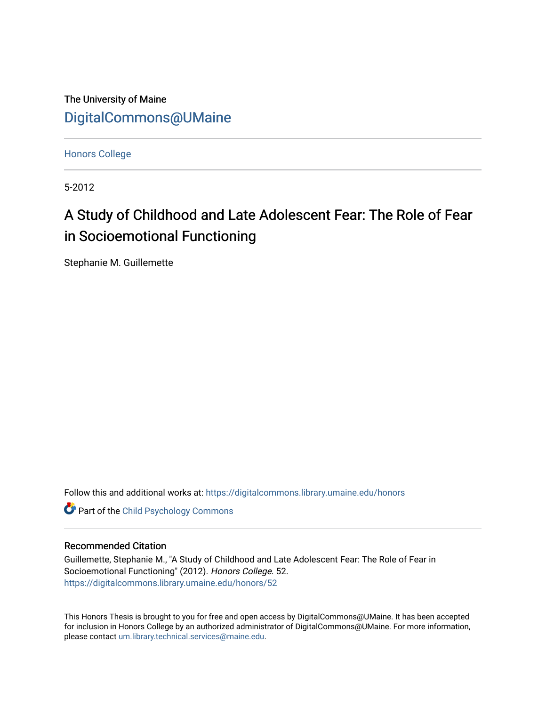The University of Maine [DigitalCommons@UMaine](https://digitalcommons.library.umaine.edu/)

[Honors College](https://digitalcommons.library.umaine.edu/honors)

5-2012

# A Study of Childhood and Late Adolescent Fear: The Role of Fear in Socioemotional Functioning

Stephanie M. Guillemette

Follow this and additional works at: [https://digitalcommons.library.umaine.edu/honors](https://digitalcommons.library.umaine.edu/honors?utm_source=digitalcommons.library.umaine.edu%2Fhonors%2F52&utm_medium=PDF&utm_campaign=PDFCoverPages) 

**Part of the Child Psychology Commons** 

# Recommended Citation

Guillemette, Stephanie M., "A Study of Childhood and Late Adolescent Fear: The Role of Fear in Socioemotional Functioning" (2012). Honors College. 52. [https://digitalcommons.library.umaine.edu/honors/52](https://digitalcommons.library.umaine.edu/honors/52?utm_source=digitalcommons.library.umaine.edu%2Fhonors%2F52&utm_medium=PDF&utm_campaign=PDFCoverPages) 

This Honors Thesis is brought to you for free and open access by DigitalCommons@UMaine. It has been accepted for inclusion in Honors College by an authorized administrator of DigitalCommons@UMaine. For more information, please contact [um.library.technical.services@maine.edu.](mailto:um.library.technical.services@maine.edu)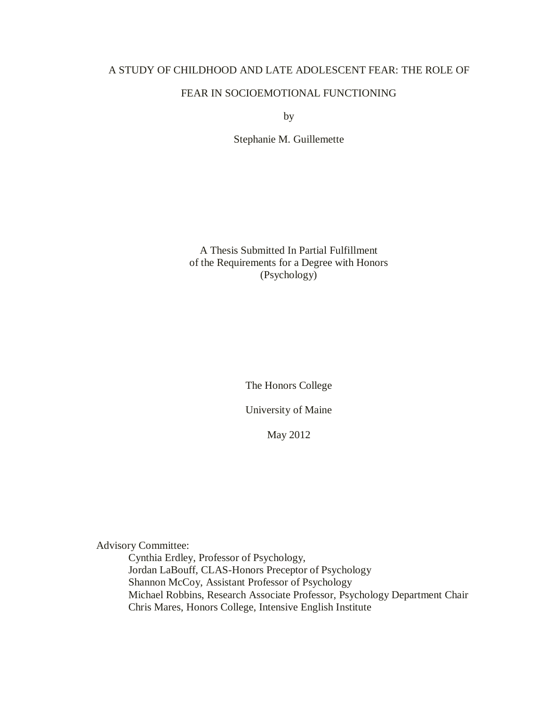# A STUDY OF CHILDHOOD AND LATE ADOLESCENT FEAR: THE ROLE OF

# FEAR IN SOCIOEMOTIONAL FUNCTIONING

by

Stephanie M. Guillemette

A Thesis Submitted In Partial Fulfillment of the Requirements for a Degree with Honors (Psychology)

The Honors College

University of Maine

May 2012

Advisory Committee:

Cynthia Erdley, Professor of Psychology, Jordan LaBouff, CLAS-Honors Preceptor of Psychology Shannon McCoy, Assistant Professor of Psychology Michael Robbins, Research Associate Professor, Psychology Department Chair Chris Mares, Honors College, Intensive English Institute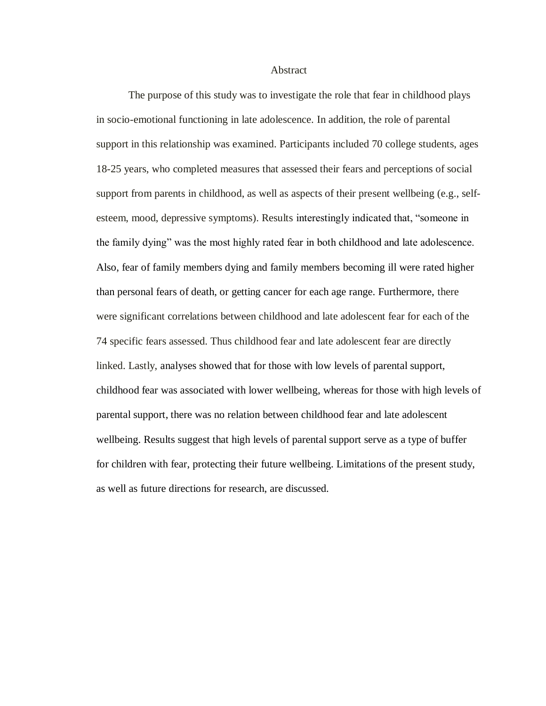Abstract

The purpose of this study was to investigate the role that fear in childhood plays in socio-emotional functioning in late adolescence. In addition, the role of parental support in this relationship was examined. Participants included 70 college students, ages 18-25 years, who completed measures that assessed their fears and perceptions of social support from parents in childhood, as well as aspects of their present wellbeing (e.g., selfesteem, mood, depressive symptoms). Results interestingly indicated that, "someone in the family dying" was the most highly rated fear in both childhood and late adolescence. Also, fear of family members dying and family members becoming ill were rated higher than personal fears of death, or getting cancer for each age range. Furthermore, there were significant correlations between childhood and late adolescent fear for each of the 74 specific fears assessed. Thus childhood fear and late adolescent fear are directly linked. Lastly, analyses showed that for those with low levels of parental support, childhood fear was associated with lower wellbeing, whereas for those with high levels of parental support, there was no relation between childhood fear and late adolescent wellbeing. Results suggest that high levels of parental support serve as a type of buffer for children with fear, protecting their future wellbeing. Limitations of the present study, as well as future directions for research, are discussed.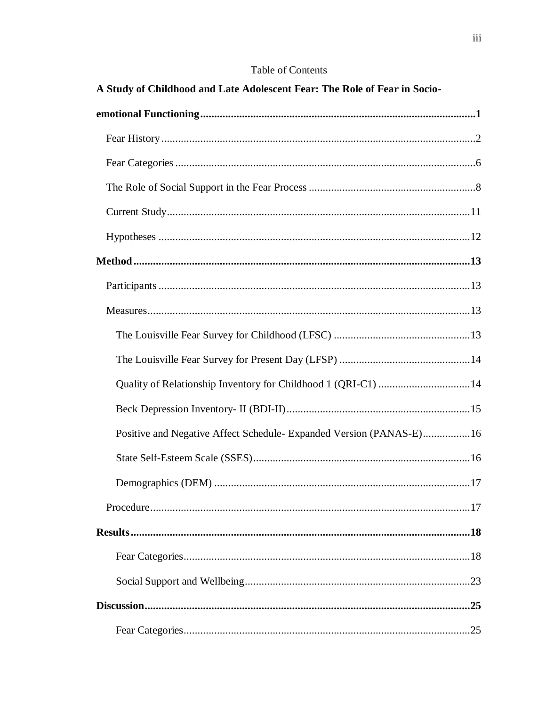# Table of Contents

| A Study of Childhood and Late Adolescent Fear: The Role of Fear in Socio- |
|---------------------------------------------------------------------------|
|                                                                           |
|                                                                           |
|                                                                           |
|                                                                           |
|                                                                           |
|                                                                           |
|                                                                           |
|                                                                           |
|                                                                           |
|                                                                           |
|                                                                           |
| Quality of Relationship Inventory for Childhood 1 (QRI-C1) 14             |
|                                                                           |
| Positive and Negative Affect Schedule- Expanded Version (PANAS-E)16       |
|                                                                           |
|                                                                           |
|                                                                           |
|                                                                           |
|                                                                           |
|                                                                           |
|                                                                           |
|                                                                           |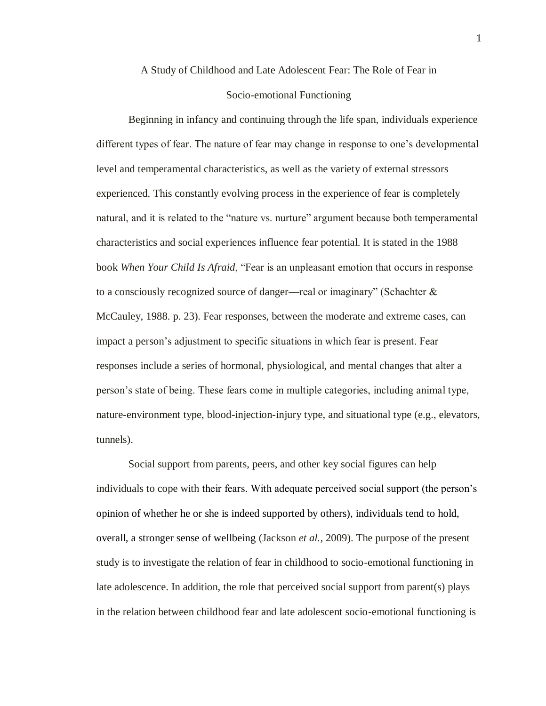#### <span id="page-5-0"></span>A Study of Childhood and Late Adolescent Fear: The Role of Fear in

# Socio-emotional Functioning

Beginning in infancy and continuing through the life span, individuals experience different types of fear. The nature of fear may change in response to one's developmental level and temperamental characteristics, as well as the variety of external stressors experienced. This constantly evolving process in the experience of fear is completely natural, and it is related to the "nature vs. nurture" argument because both temperamental characteristics and social experiences influence fear potential. It is stated in the 1988 book *When Your Child Is Afraid*, "Fear is an unpleasant emotion that occurs in response to a consciously recognized source of danger—real or imaginary" (Schachter  $\&$ McCauley, 1988. p. 23). Fear responses, between the moderate and extreme cases, can impact a person's adjustment to specific situations in which fear is present. Fear responses include a series of hormonal, physiological, and mental changes that alter a person's state of being. These fears come in multiple categories, including animal type, nature-environment type, blood-injection-injury type, and situational type (e.g., elevators, tunnels).

Social support from parents, peers, and other key social figures can help individuals to cope with their fears. With adequate perceived social support (the person's opinion of whether he or she is indeed supported by others), individuals tend to hold, overall, a stronger sense of wellbeing (Jackson *et al.,* 2009). The purpose of the present study is to investigate the relation of fear in childhood to socio-emotional functioning in late adolescence. In addition, the role that perceived social support from parent(s) plays in the relation between childhood fear and late adolescent socio-emotional functioning is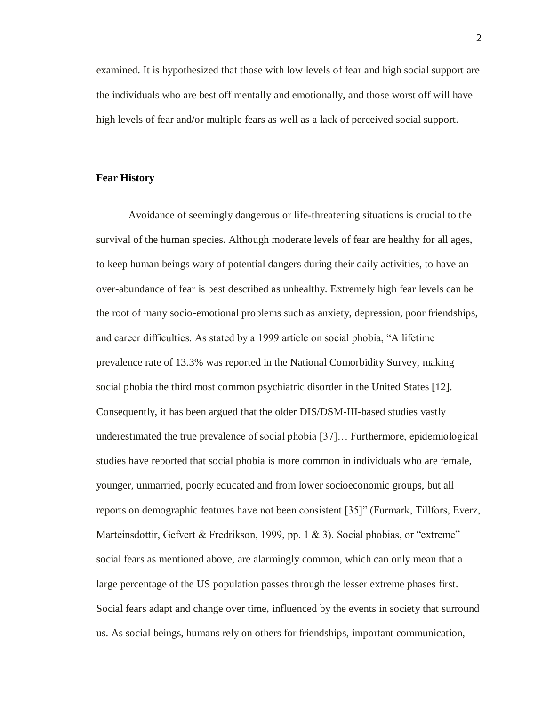examined. It is hypothesized that those with low levels of fear and high social support are the individuals who are best off mentally and emotionally, and those worst off will have high levels of fear and/or multiple fears as well as a lack of perceived social support.

### <span id="page-6-0"></span>**Fear History**

Avoidance of seemingly dangerous or life-threatening situations is crucial to the survival of the human species. Although moderate levels of fear are healthy for all ages, to keep human beings wary of potential dangers during their daily activities, to have an over-abundance of fear is best described as unhealthy. Extremely high fear levels can be the root of many socio-emotional problems such as anxiety, depression, poor friendships, and career difficulties. As stated by a 1999 article on social phobia, "A lifetime prevalence rate of 13.3% was reported in the National Comorbidity Survey, making social phobia the third most common psychiatric disorder in the United States [12]. Consequently, it has been argued that the older DIS/DSM-III-based studies vastly underestimated the true prevalence of social phobia [37]… Furthermore, epidemiological studies have reported that social phobia is more common in individuals who are female, younger, unmarried, poorly educated and from lower socioeconomic groups, but all reports on demographic features have not been consistent [35]" (Furmark, Tillfors, Everz, Marteinsdottir, Gefvert & Fredrikson, 1999, pp. 1 & 3). Social phobias, or "extreme" social fears as mentioned above, are alarmingly common, which can only mean that a large percentage of the US population passes through the lesser extreme phases first. Social fears adapt and change over time, influenced by the events in society that surround us. As social beings, humans rely on others for friendships, important communication,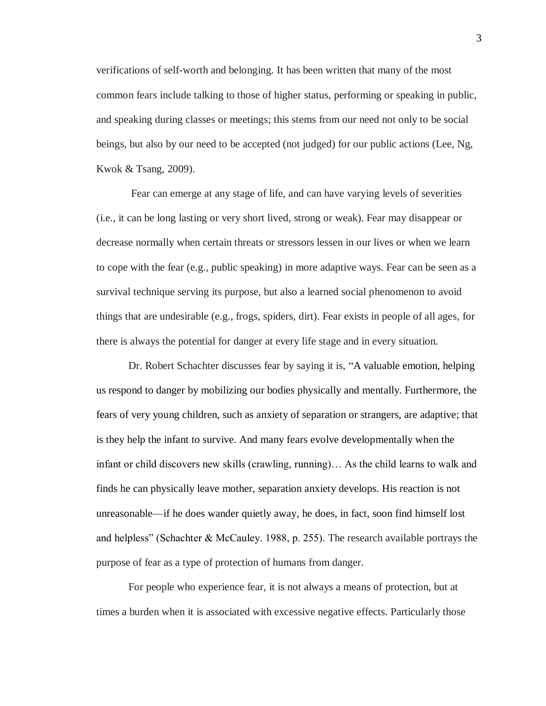verifications of self-worth and belonging. It has been written that many of the most common fears include talking to those of higher status, performing or speaking in public, and speaking during classes or meetings; this stems from our need not only to be social beings, but also by our need to be accepted (not judged) for our public actions (Lee, Ng, Kwok & Tsang, 2009).

Fear can emerge at any stage of life, and can have varying levels of severities (i.e., it can be long lasting or very short lived, strong or weak). Fear may disappear or decrease normally when certain threats or stressors lessen in our lives or when we learn to cope with the fear (e.g., public speaking) in more adaptive ways. Fear can be seen as a survival technique serving its purpose, but also a learned social phenomenon to avoid things that are undesirable (e.g., frogs, spiders, dirt). Fear exists in people of all ages, for there is always the potential for danger at every life stage and in every situation.

Dr. Robert Schachter discusses fear by saying it is, "A valuable emotion, helping us respond to danger by mobilizing our bodies physically and mentally. Furthermore, the fears of very young children, such as anxiety of separation or strangers, are adaptive; that is they help the infant to survive. And many fears evolve developmentally when the infant or child discovers new skills (crawling, running)… As the child learns to walk and finds he can physically leave mother, separation anxiety develops. His reaction is not unreasonable—if he does wander quietly away, he does, in fact, soon find himself lost and helpless" (Schachter & McCauley. 1988, p. 255). The research available portrays the purpose of fear as a type of protection of humans from danger.

For people who experience fear, it is not always a means of protection, but at times a burden when it is associated with excessive negative effects. Particularly those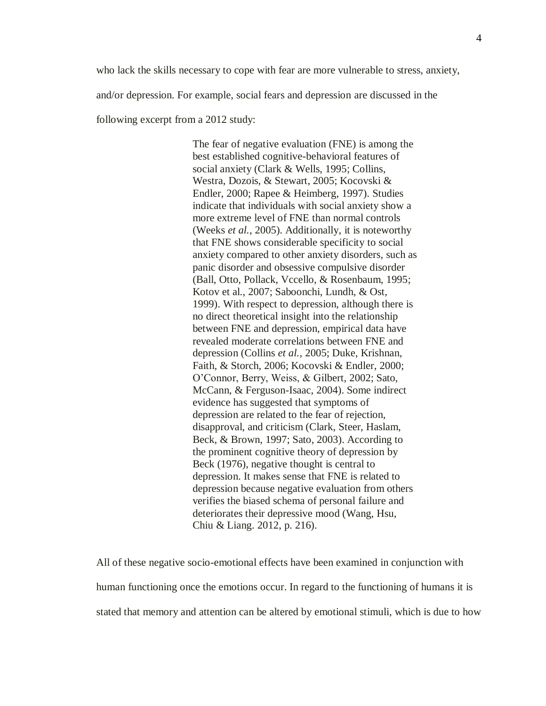who lack the skills necessary to cope with fear are more vulnerable to stress, anxiety, and/or depression. For example, social fears and depression are discussed in the following excerpt from a 2012 study:

> The fear of negative evaluation (FNE) is among the best established cognitive-behavioral features of social anxiety (Clark & Wells, 1995; Collins, Westra, Dozois, & Stewart, 2005; Kocovski & Endler, 2000; Rapee & Heimberg, 1997). Studies indicate that individuals with social anxiety show a more extreme level of FNE than normal controls (Weeks *et al.,* 2005). Additionally, it is noteworthy that FNE shows considerable specificity to social anxiety compared to other anxiety disorders, such as panic disorder and obsessive compulsive disorder (Ball, Otto, Pollack, Vccello, & Rosenbaum, 1995; Kotov et al., 2007; Saboonchi, Lundh, & Ost, 1999). With respect to depression, although there is no direct theoretical insight into the relationship between FNE and depression, empirical data have revealed moderate correlations between FNE and depression (Collins *et al.,* 2005; Duke, Krishnan, Faith, & Storch, 2006; Kocovski & Endler, 2000; O'Connor, Berry, Weiss, & Gilbert, 2002; Sato, McCann, & Ferguson-Isaac, 2004). Some indirect evidence has suggested that symptoms of depression are related to the fear of rejection, disapproval, and criticism (Clark, Steer, Haslam, Beck, & Brown, 1997; Sato, 2003). According to the prominent cognitive theory of depression by Beck (1976), negative thought is central to depression. It makes sense that FNE is related to depression because negative evaluation from others verifies the biased schema of personal failure and deteriorates their depressive mood (Wang, Hsu, Chiu & Liang. 2012, p. 216).

All of these negative socio-emotional effects have been examined in conjunction with human functioning once the emotions occur. In regard to the functioning of humans it is stated that memory and attention can be altered by emotional stimuli, which is due to how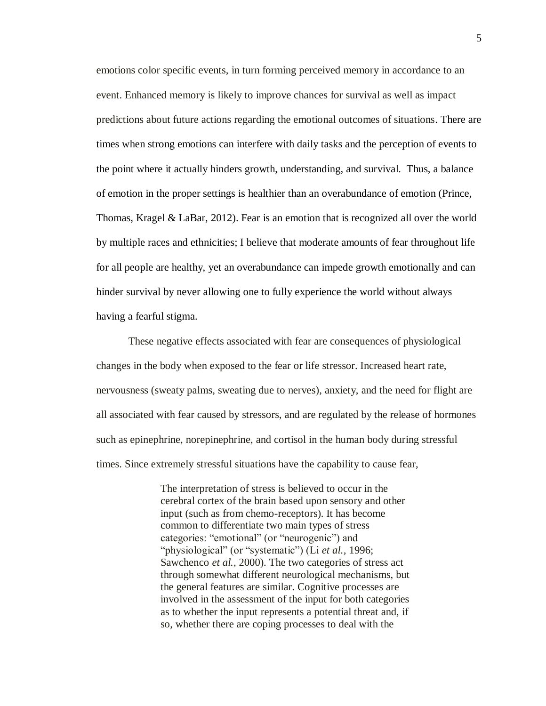emotions color specific events, in turn forming perceived memory in accordance to an event. Enhanced memory is likely to improve chances for survival as well as impact predictions about future actions regarding the emotional outcomes of situations. There are times when strong emotions can interfere with daily tasks and the perception of events to the point where it actually hinders growth, understanding, and survival. Thus, a balance of emotion in the proper settings is healthier than an overabundance of emotion (Prince, Thomas, Kragel & LaBar, 2012). Fear is an emotion that is recognized all over the world by multiple races and ethnicities; I believe that moderate amounts of fear throughout life for all people are healthy, yet an overabundance can impede growth emotionally and can hinder survival by never allowing one to fully experience the world without always having a fearful stigma.

These negative effects associated with fear are consequences of physiological changes in the body when exposed to the fear or life stressor. Increased heart rate, nervousness (sweaty palms, sweating due to nerves), anxiety, and the need for flight are all associated with fear caused by stressors, and are regulated by the release of hormones such as epinephrine, norepinephrine, and cortisol in the human body during stressful times. Since extremely stressful situations have the capability to cause fear,

> The interpretation of stress is believed to occur in the cerebral cortex of the brain based upon sensory and other input (such as from chemo-receptors). It has become common to differentiate two main types of stress categories: "emotional" (or "neurogenic") and "physiological" (or "systematic") (Li *et al.*, 1996; Sawchenco *et al.,* 2000). The two categories of stress act through somewhat different neurological mechanisms, but the general features are similar. Cognitive processes are involved in the assessment of the input for both categories as to whether the input represents a potential threat and, if so, whether there are coping processes to deal with the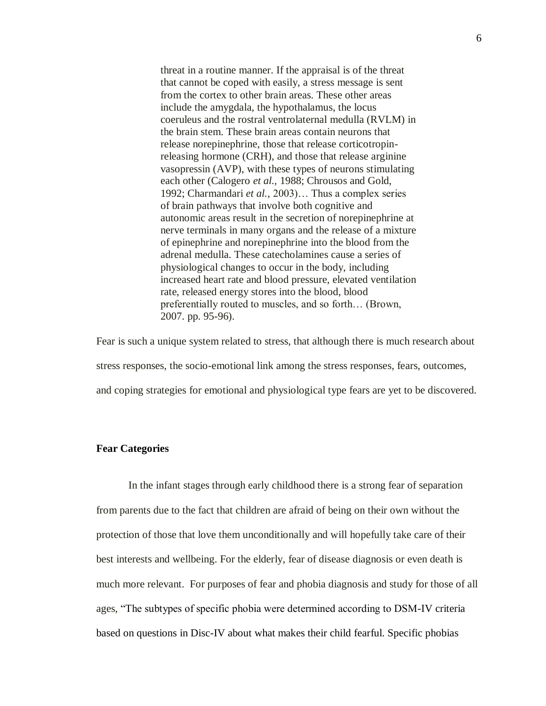threat in a routine manner. If the appraisal is of the threat that cannot be coped with easily, a stress message is sent from the cortex to other brain areas. These other areas include the amygdala, the hypothalamus, the locus coeruleus and the rostral ventrolaternal medulla (RVLM) in the brain stem. These brain areas contain neurons that release norepinephrine, those that release corticotropinreleasing hormone (CRH), and those that release arginine vasopressin (AVP), with these types of neurons stimulating each other (Calogero *et al.,* 1988; Chrousos and Gold, 1992; Charmandari *et al.,* 2003)… Thus a complex series of brain pathways that involve both cognitive and autonomic areas result in the secretion of norepinephrine at nerve terminals in many organs and the release of a mixture of epinephrine and norepinephrine into the blood from the adrenal medulla. These catecholamines cause a series of physiological changes to occur in the body, including increased heart rate and blood pressure, elevated ventilation rate, released energy stores into the blood, blood preferentially routed to muscles, and so forth… (Brown, 2007. pp. 95-96).

Fear is such a unique system related to stress, that although there is much research about stress responses, the socio-emotional link among the stress responses, fears, outcomes, and coping strategies for emotional and physiological type fears are yet to be discovered.

# <span id="page-10-0"></span>**Fear Categories**

In the infant stages through early childhood there is a strong fear of separation from parents due to the fact that children are afraid of being on their own without the protection of those that love them unconditionally and will hopefully take care of their best interests and wellbeing. For the elderly, fear of disease diagnosis or even death is much more relevant. For purposes of fear and phobia diagnosis and study for those of all ages, "The subtypes of specific phobia were determined according to DSM-IV criteria based on questions in Disc-IV about what makes their child fearful. Specific phobias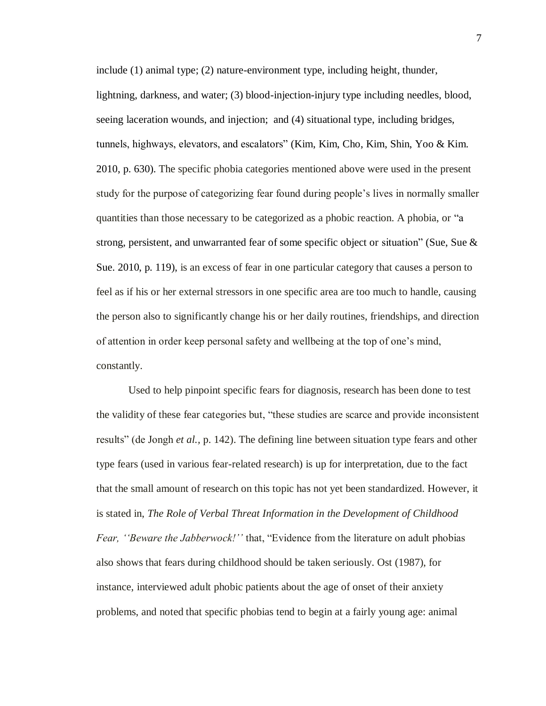include (1) animal type; (2) nature-environment type, including height, thunder, lightning, darkness, and water; (3) blood-injection-injury type including needles, blood, seeing laceration wounds, and injection; and (4) situational type, including bridges, tunnels, highways, elevators, and escalators" (Kim, Kim, Cho, Kim, Shin, Yoo & Kim. 2010, p. 630). The specific phobia categories mentioned above were used in the present study for the purpose of categorizing fear found during people's lives in normally smaller quantities than those necessary to be categorized as a phobic reaction. A phobia, or "a strong, persistent, and unwarranted fear of some specific object or situation" (Sue, Sue & Sue. 2010, p. 119), is an excess of fear in one particular category that causes a person to feel as if his or her external stressors in one specific area are too much to handle, causing the person also to significantly change his or her daily routines, friendships, and direction of attention in order keep personal safety and wellbeing at the top of one's mind, constantly.

Used to help pinpoint specific fears for diagnosis, research has been done to test the validity of these fear categories but, "these studies are scarce and provide inconsistent results" (de Jongh *et al.,* p. 142). The defining line between situation type fears and other type fears (used in various fear-related research) is up for interpretation, due to the fact that the small amount of research on this topic has not yet been standardized. However, it is stated in, *The Role of Verbal Threat Information in the Development of Childhood Fear, ''Beware the Jabberwock!''* that, "Evidence from the literature on adult phobias also shows that fears during childhood should be taken seriously. Ost (1987), for instance, interviewed adult phobic patients about the age of onset of their anxiety problems, and noted that specific phobias tend to begin at a fairly young age: animal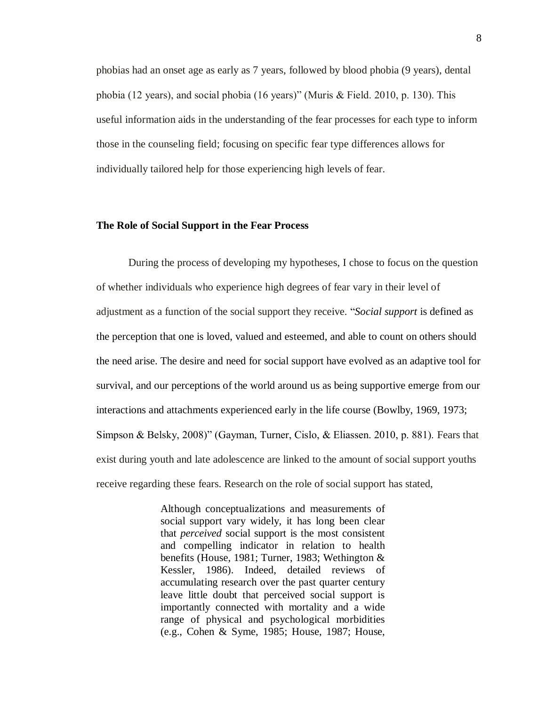phobias had an onset age as early as 7 years, followed by blood phobia (9 years), dental phobia (12 years), and social phobia (16 years)" (Muris & Field. 2010, p. 130). This useful information aids in the understanding of the fear processes for each type to inform those in the counseling field; focusing on specific fear type differences allows for individually tailored help for those experiencing high levels of fear.

#### <span id="page-12-0"></span>**The Role of Social Support in the Fear Process**

During the process of developing my hypotheses, I chose to focus on the question of whether individuals who experience high degrees of fear vary in their level of adjustment as a function of the social support they receive. "*Social support* is defined as the perception that one is loved, valued and esteemed, and able to count on others should the need arise. The desire and need for social support have evolved as an adaptive tool for survival, and our perceptions of the world around us as being supportive emerge from our interactions and attachments experienced early in the life course (Bowlby, 1969, 1973; Simpson & Belsky, 2008)" (Gayman, Turner, Cislo, & Eliassen. 2010, p. 881). Fears that exist during youth and late adolescence are linked to the amount of social support youths receive regarding these fears. Research on the role of social support has stated,

> Although conceptualizations and measurements of social support vary widely, it has long been clear that *perceived* social support is the most consistent and compelling indicator in relation to health benefits (House, 1981; Turner, 1983; Wethington & Kessler, 1986). Indeed, detailed reviews of accumulating research over the past quarter century leave little doubt that perceived social support is importantly connected with mortality and a wide range of physical and psychological morbidities (e.g., Cohen & Syme, 1985; House, 1987; House,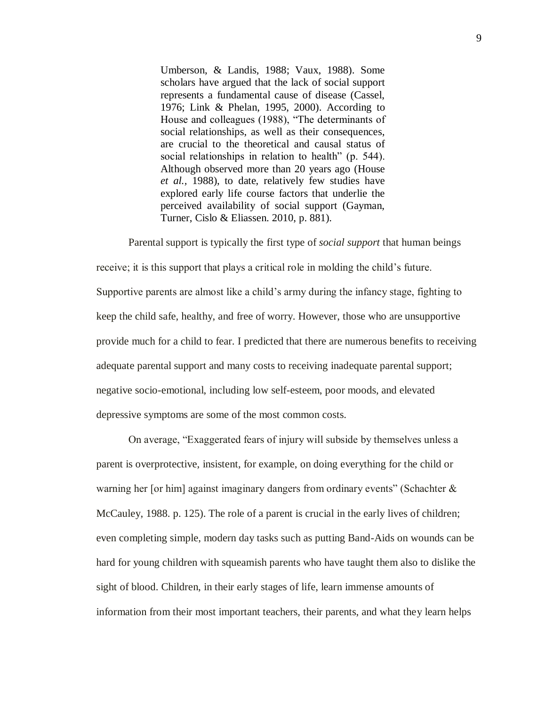Umberson, & Landis, 1988; Vaux, 1988). Some scholars have argued that the lack of social support represents a fundamental cause of disease (Cassel, 1976; Link & Phelan, 1995, 2000). According to House and colleagues (1988), "The determinants of social relationships, as well as their consequences, are crucial to the theoretical and causal status of social relationships in relation to health" (p. 544). Although observed more than 20 years ago (House *et al.,* 1988), to date, relatively few studies have explored early life course factors that underlie the perceived availability of social support (Gayman, Turner, Cislo & Eliassen. 2010, p. 881).

Parental support is typically the first type of *social support* that human beings receive; it is this support that plays a critical role in molding the child's future. Supportive parents are almost like a child's army during the infancy stage, fighting to keep the child safe, healthy, and free of worry. However, those who are unsupportive provide much for a child to fear. I predicted that there are numerous benefits to receiving adequate parental support and many costs to receiving inadequate parental support; negative socio-emotional, including low self-esteem, poor moods, and elevated depressive symptoms are some of the most common costs.

On average, "Exaggerated fears of injury will subside by themselves unless a parent is overprotective, insistent, for example, on doing everything for the child or warning her [or him] against imaginary dangers from ordinary events" (Schachter & McCauley, 1988. p. 125). The role of a parent is crucial in the early lives of children; even completing simple, modern day tasks such as putting Band-Aids on wounds can be hard for young children with squeamish parents who have taught them also to dislike the sight of blood. Children, in their early stages of life, learn immense amounts of information from their most important teachers, their parents, and what they learn helps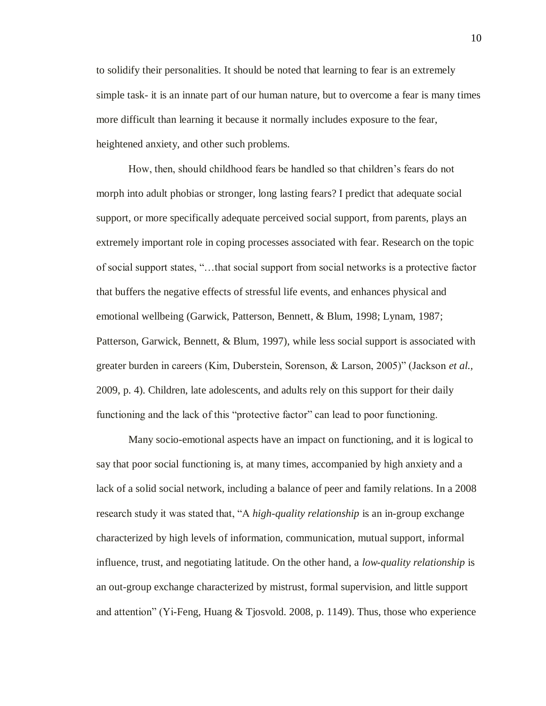to solidify their personalities. It should be noted that learning to fear is an extremely simple task- it is an innate part of our human nature, but to overcome a fear is many times more difficult than learning it because it normally includes exposure to the fear, heightened anxiety, and other such problems.

How, then, should childhood fears be handled so that children's fears do not morph into adult phobias or stronger, long lasting fears? I predict that adequate social support, or more specifically adequate perceived social support, from parents, plays an extremely important role in coping processes associated with fear. Research on the topic of social support states, "…that social support from social networks is a protective factor that buffers the negative effects of stressful life events, and enhances physical and emotional wellbeing (Garwick, Patterson, Bennett, & Blum, 1998; Lynam, 1987; Patterson, Garwick, Bennett, & Blum, 1997), while less social support is associated with greater burden in careers (Kim, Duberstein, Sorenson, & Larson, 2005)" (Jackson *et al.,*  2009, p. 4). Children, late adolescents, and adults rely on this support for their daily functioning and the lack of this "protective factor" can lead to poor functioning.

Many socio-emotional aspects have an impact on functioning, and it is logical to say that poor social functioning is, at many times, accompanied by high anxiety and a lack of a solid social network, including a balance of peer and family relations. In a 2008 research study it was stated that, "A *high-quality relationship* is an in-group exchange characterized by high levels of information, communication, mutual support, informal influence, trust, and negotiating latitude. On the other hand, a *low-quality relationship* is an out-group exchange characterized by mistrust, formal supervision, and little support and attention" (Yi-Feng, Huang & Tjosvold. 2008, p. 1149). Thus, those who experience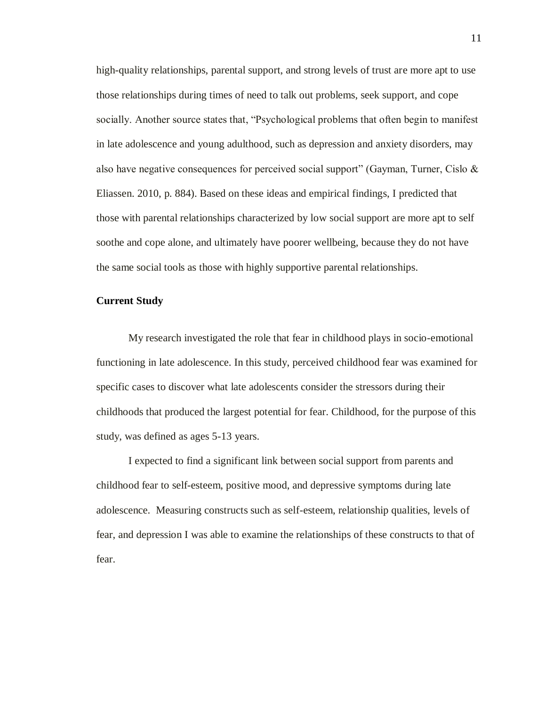high-quality relationships, parental support, and strong levels of trust are more apt to use those relationships during times of need to talk out problems, seek support, and cope socially. Another source states that, "Psychological problems that often begin to manifest in late adolescence and young adulthood, such as depression and anxiety disorders, may also have negative consequences for perceived social support" (Gayman, Turner, Cislo & Eliassen. 2010, p. 884). Based on these ideas and empirical findings, I predicted that those with parental relationships characterized by low social support are more apt to self soothe and cope alone, and ultimately have poorer wellbeing, because they do not have the same social tools as those with highly supportive parental relationships.

### <span id="page-15-0"></span>**Current Study**

My research investigated the role that fear in childhood plays in socio-emotional functioning in late adolescence. In this study, perceived childhood fear was examined for specific cases to discover what late adolescents consider the stressors during their childhoods that produced the largest potential for fear. Childhood, for the purpose of this study, was defined as ages 5-13 years.

I expected to find a significant link between social support from parents and childhood fear to self-esteem, positive mood, and depressive symptoms during late adolescence. Measuring constructs such as self-esteem, relationship qualities, levels of fear, and depression I was able to examine the relationships of these constructs to that of fear.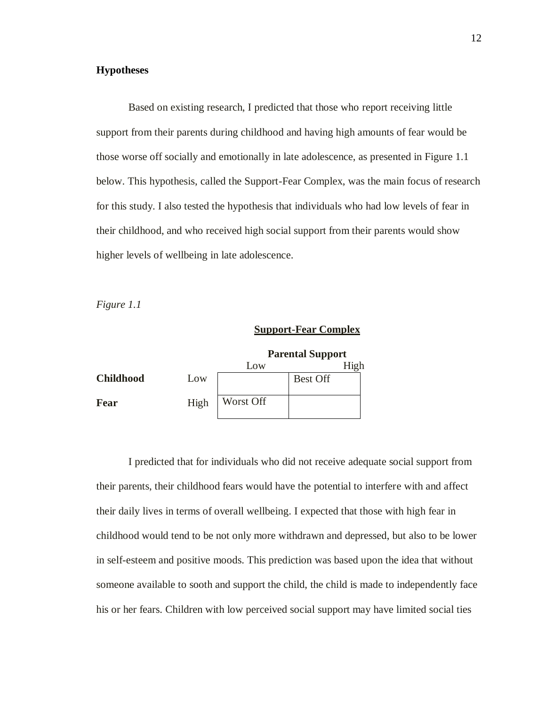# <span id="page-16-0"></span>**Hypotheses**

Based on existing research, I predicted that those who report receiving little support from their parents during childhood and having high amounts of fear would be those worse off socially and emotionally in late adolescence, as presented in Figure 1.1 below. This hypothesis, called the Support-Fear Complex, was the main focus of research for this study. I also tested the hypothesis that individuals who had low levels of fear in their childhood, and who received high social support from their parents would show higher levels of wellbeing in late adolescence.

*Figure 1.1*

# **Support-Fear Complex**

|                  |      | <b>Parental Support</b> |                 |  |
|------------------|------|-------------------------|-----------------|--|
|                  |      | Low                     |                 |  |
| <b>Childhood</b> | Low  |                         | <b>Best Off</b> |  |
| Fear             | High | Worst Off               |                 |  |

I predicted that for individuals who did not receive adequate social support from their parents, their childhood fears would have the potential to interfere with and affect their daily lives in terms of overall wellbeing. I expected that those with high fear in childhood would tend to be not only more withdrawn and depressed, but also to be lower in self-esteem and positive moods. This prediction was based upon the idea that without someone available to sooth and support the child, the child is made to independently face his or her fears. Children with low perceived social support may have limited social ties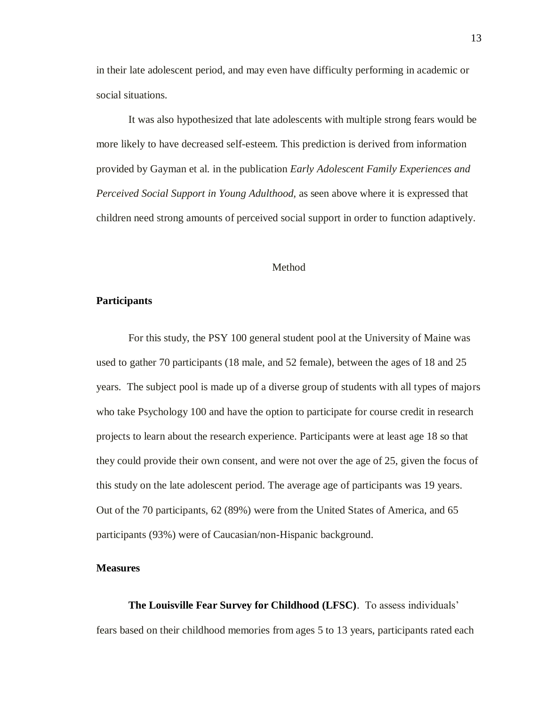in their late adolescent period, and may even have difficulty performing in academic or social situations.

It was also hypothesized that late adolescents with multiple strong fears would be more likely to have decreased self-esteem. This prediction is derived from information provided by Gayman et al. in the publication *Early Adolescent Family Experiences and Perceived Social Support in Young Adulthood,* as seen above where it is expressed that children need strong amounts of perceived social support in order to function adaptively.

### Method

### <span id="page-17-1"></span><span id="page-17-0"></span>**Participants**

For this study, the PSY 100 general student pool at the University of Maine was used to gather 70 participants (18 male, and 52 female), between the ages of 18 and 25 years. The subject pool is made up of a diverse group of students with all types of majors who take Psychology 100 and have the option to participate for course credit in research projects to learn about the research experience. Participants were at least age 18 so that they could provide their own consent, and were not over the age of 25, given the focus of this study on the late adolescent period. The average age of participants was 19 years. Out of the 70 participants, 62 (89%) were from the United States of America, and 65 participants (93%) were of Caucasian/non-Hispanic background.

### <span id="page-17-2"></span>**Measures**

<span id="page-17-3"></span>**The Louisville Fear Survey for Childhood (LFSC)**. To assess individuals' fears based on their childhood memories from ages 5 to 13 years, participants rated each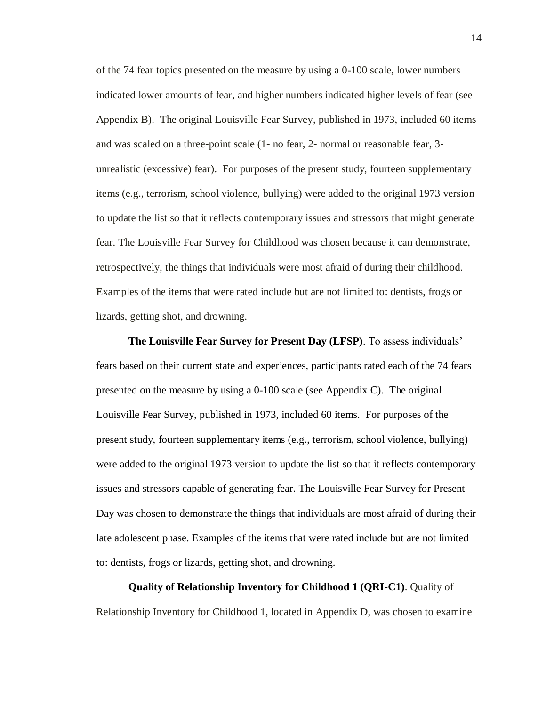of the 74 fear topics presented on the measure by using a 0-100 scale, lower numbers indicated lower amounts of fear, and higher numbers indicated higher levels of fear (see Appendix B). The original Louisville Fear Survey, published in 1973, included 60 items and was scaled on a three-point scale (1- no fear, 2- normal or reasonable fear, 3 unrealistic (excessive) fear). For purposes of the present study, fourteen supplementary items (e.g., terrorism, school violence, bullying) were added to the original 1973 version to update the list so that it reflects contemporary issues and stressors that might generate fear. The Louisville Fear Survey for Childhood was chosen because it can demonstrate, retrospectively, the things that individuals were most afraid of during their childhood. Examples of the items that were rated include but are not limited to: dentists, frogs or lizards, getting shot, and drowning.

<span id="page-18-0"></span>**The Louisville Fear Survey for Present Day (LFSP)**. To assess individuals' fears based on their current state and experiences, participants rated each of the 74 fears presented on the measure by using a 0-100 scale (see Appendix C). The original Louisville Fear Survey, published in 1973, included 60 items. For purposes of the present study, fourteen supplementary items (e.g., terrorism, school violence, bullying) were added to the original 1973 version to update the list so that it reflects contemporary issues and stressors capable of generating fear. The Louisville Fear Survey for Present Day was chosen to demonstrate the things that individuals are most afraid of during their late adolescent phase. Examples of the items that were rated include but are not limited to: dentists, frogs or lizards, getting shot, and drowning.

<span id="page-18-1"></span>**Quality of Relationship Inventory for Childhood 1 (QRI-C1)**. Quality of Relationship Inventory for Childhood 1, located in Appendix D, was chosen to examine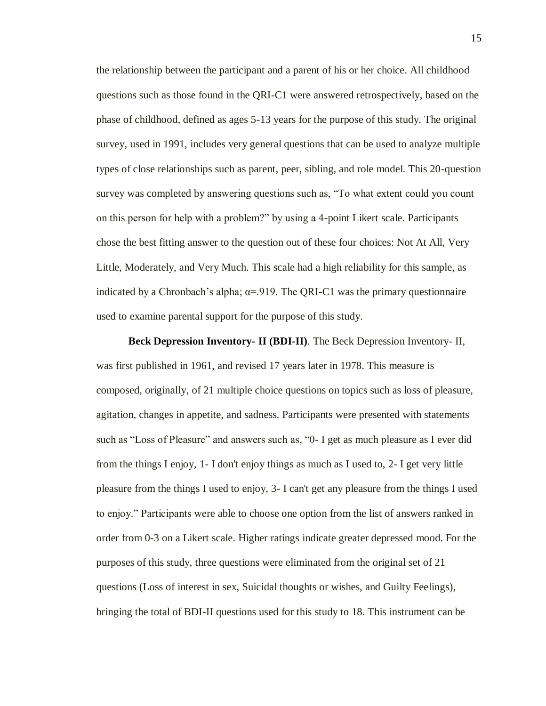the relationship between the participant and a parent of his or her choice. All childhood questions such as those found in the QRI-C1 were answered retrospectively, based on the phase of childhood, defined as ages 5-13 years for the purpose of this study. The original survey, used in 1991, includes very general questions that can be used to analyze multiple types of close relationships such as parent, peer, sibling, and role model. This 20-question survey was completed by answering questions such as, "To what extent could you count on this person for help with a problem?" by using a 4-point Likert scale. Participants chose the best fitting answer to the question out of these four choices: Not At All, Very Little, Moderately, and Very Much. This scale had a high reliability for this sample, as indicated by a Chronbach's alpha;  $\alpha$ =.919. The QRI-C1 was the primary questionnaire used to examine parental support for the purpose of this study.

<span id="page-19-0"></span>**Beck Depression Inventory- II (BDI-II)**. The Beck Depression Inventory- II, was first published in 1961, and revised 17 years later in 1978. This measure is composed, originally, of 21 multiple choice questions on topics such as loss of pleasure, agitation, changes in appetite, and sadness. Participants were presented with statements such as "Loss of Pleasure" and answers such as, "0- I get as much pleasure as I ever did from the things I enjoy, 1- I don't enjoy things as much as I used to, 2- I get very little pleasure from the things I used to enjoy, 3- I can't get any pleasure from the things I used to enjoy." Participants were able to choose one option from the list of answers ranked in order from 0-3 on a Likert scale. Higher ratings indicate greater depressed mood. For the purposes of this study, three questions were eliminated from the original set of 21 questions (Loss of interest in sex, Suicidal thoughts or wishes, and Guilty Feelings), bringing the total of BDI-II questions used for this study to 18. This instrument can be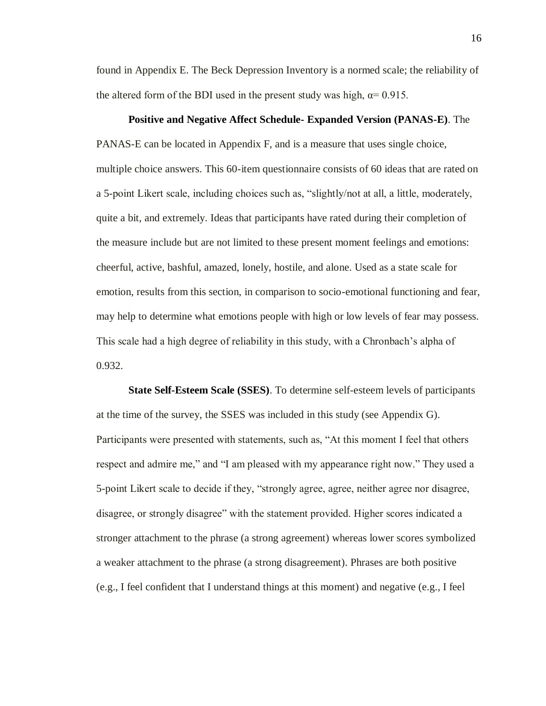found in Appendix E. The Beck Depression Inventory is a normed scale; the reliability of the altered form of the BDI used in the present study was high,  $\alpha$ = 0.915.

### **Positive and Negative Affect Schedule- Expanded Version (PANAS-E)**. The

<span id="page-20-0"></span>PANAS-E can be located in Appendix F, and is a measure that uses single choice, multiple choice answers. This 60-item questionnaire consists of 60 ideas that are rated on a 5-point Likert scale, including choices such as, "slightly/not at all, a little, moderately, quite a bit, and extremely. Ideas that participants have rated during their completion of the measure include but are not limited to these present moment feelings and emotions: cheerful, active, bashful, amazed, lonely, hostile, and alone. Used as a state scale for emotion, results from this section, in comparison to socio-emotional functioning and fear, may help to determine what emotions people with high or low levels of fear may possess. This scale had a high degree of reliability in this study, with a Chronbach's alpha of 0.932.

<span id="page-20-1"></span>**State Self-Esteem Scale (SSES)**. To determine self-esteem levels of participants at the time of the survey, the SSES was included in this study (see Appendix G). Participants were presented with statements, such as, "At this moment I feel that others respect and admire me," and "I am pleased with my appearance right now." They used a 5-point Likert scale to decide if they, "strongly agree, agree, neither agree nor disagree, disagree, or strongly disagree" with the statement provided. Higher scores indicated a stronger attachment to the phrase (a strong agreement) whereas lower scores symbolized a weaker attachment to the phrase (a strong disagreement). Phrases are both positive (e.g., I feel confident that I understand things at this moment) and negative (e.g., I feel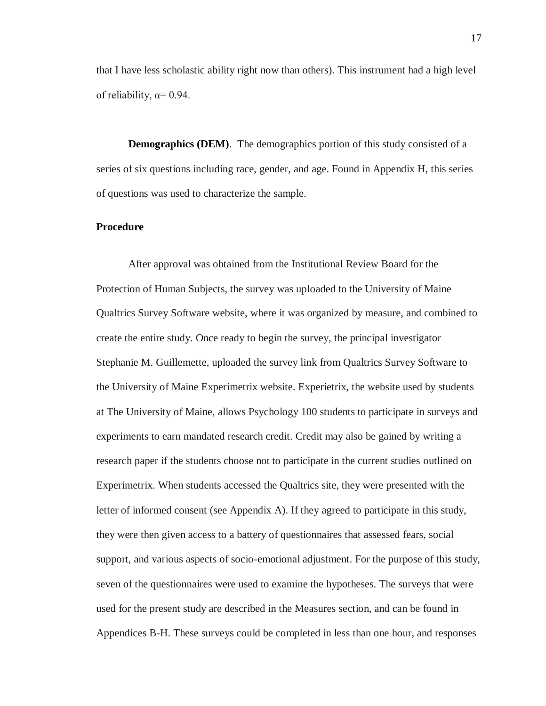that I have less scholastic ability right now than others). This instrument had a high level of reliability,  $\alpha$ = 0.94.

<span id="page-21-0"></span>**Demographics (DEM)**. The demographics portion of this study consisted of a series of six questions including race, gender, and age. Found in Appendix H, this series of questions was used to characterize the sample.

# <span id="page-21-1"></span>**Procedure**

After approval was obtained from the Institutional Review Board for the Protection of Human Subjects, the survey was uploaded to the University of Maine Qualtrics Survey Software website, where it was organized by measure, and combined to create the entire study. Once ready to begin the survey, the principal investigator Stephanie M. Guillemette, uploaded the survey link from Qualtrics Survey Software to the University of Maine Experimetrix website. Experietrix, the website used by students at The University of Maine, allows Psychology 100 students to participate in surveys and experiments to earn mandated research credit. Credit may also be gained by writing a research paper if the students choose not to participate in the current studies outlined on Experimetrix. When students accessed the Qualtrics site, they were presented with the letter of informed consent (see Appendix A). If they agreed to participate in this study, they were then given access to a battery of questionnaires that assessed fears, social support, and various aspects of socio-emotional adjustment. For the purpose of this study, seven of the questionnaires were used to examine the hypotheses. The surveys that were used for the present study are described in the Measures section, and can be found in Appendices B-H. These surveys could be completed in less than one hour, and responses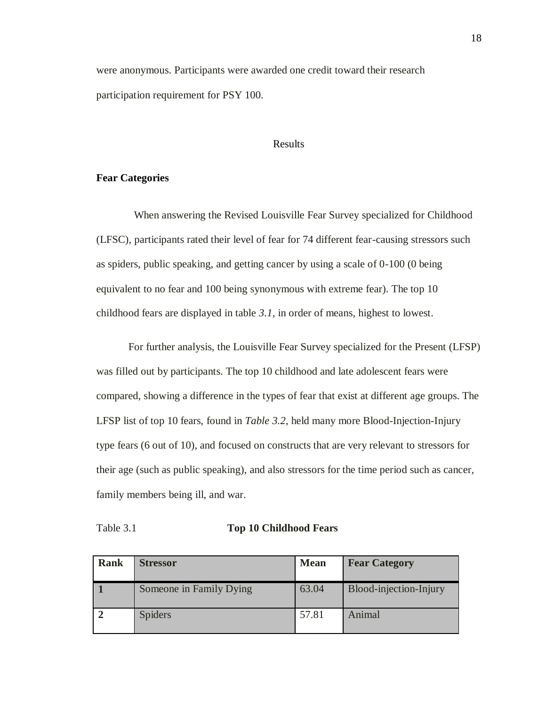were anonymous. Participants were awarded one credit toward their research participation requirement for PSY 100.

### Results

### <span id="page-22-1"></span><span id="page-22-0"></span>**Fear Categories**

When answering the Revised Louisville Fear Survey specialized for Childhood (LFSC), participants rated their level of fear for 74 different fear-causing stressors such as spiders, public speaking, and getting cancer by using a scale of 0-100 (0 being equivalent to no fear and 100 being synonymous with extreme fear). The top 10 childhood fears are displayed in table *3.1*, in order of means, highest to lowest.

For further analysis, the Louisville Fear Survey specialized for the Present (LFSP) was filled out by participants. The top 10 childhood and late adolescent fears were compared, showing a difference in the types of fear that exist at different age groups. The LFSP list of top 10 fears, found in *Table 3.2*, held many more Blood-Injection-Injury type fears (6 out of 10), and focused on constructs that are very relevant to stressors for their age (such as public speaking), and also stressors for the time period such as cancer, family members being ill, and war.

| <b>Rank</b> | <b>Stressor</b>         | <b>Mean</b> | <b>Fear Category</b>   |
|-------------|-------------------------|-------------|------------------------|
|             | Someone in Family Dying | 63.04       | Blood-injection-Injury |
|             | <b>Spiders</b>          | 57.81       | Animal                 |

Table 3.1 **Top 10 Childhood Fears**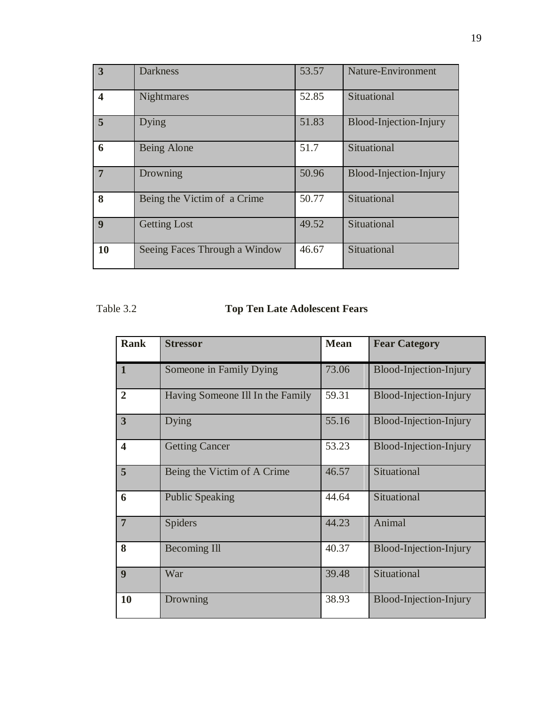| $\overline{3}$          | <b>Darkness</b>               | 53.57 | <b>Nature-Environment</b> |
|-------------------------|-------------------------------|-------|---------------------------|
| $\overline{\mathbf{4}}$ | <b>Nightmares</b>             | 52.85 | Situational               |
| 5                       | Dying                         | 51.83 | Blood-Injection-Injury    |
| 6                       | Being Alone                   | 51.7  | Situational               |
| $\overline{7}$          | Drowning                      | 50.96 | Blood-Injection-Injury    |
| 8                       | Being the Victim of a Crime   | 50.77 | Situational               |
| $\boldsymbol{9}$        | <b>Getting Lost</b>           | 49.52 | Situational               |
| 10                      | Seeing Faces Through a Window | 46.67 | Situational               |

# Table 3.2 **Top Ten Late Adolescent Fears**

| <b>Rank</b>             | <b>Stressor</b>                  | <b>Mean</b> | <b>Fear Category</b>   |
|-------------------------|----------------------------------|-------------|------------------------|
| $\mathbf{1}$            | Someone in Family Dying          | 73.06       | Blood-Injection-Injury |
| $\overline{2}$          | Having Someone Ill In the Family | 59.31       | Blood-Injection-Injury |
| $\overline{\mathbf{3}}$ | Dying                            | 55.16       | Blood-Injection-Injury |
| $\boldsymbol{4}$        | <b>Getting Cancer</b>            | 53.23       | Blood-Injection-Injury |
| 5                       | Being the Victim of A Crime      | 46.57       | Situational            |
| 6                       | <b>Public Speaking</b>           | 44.64       | Situational            |
| $\overline{7}$          | <b>Spiders</b>                   | 44.23       | Animal                 |
| 8                       | <b>Becoming Ill</b>              | 40.37       | Blood-Injection-Injury |
| 9                       | War                              | 39.48       | Situational            |
| 10                      | Drowning                         | 38.93       | Blood-Injection-Injury |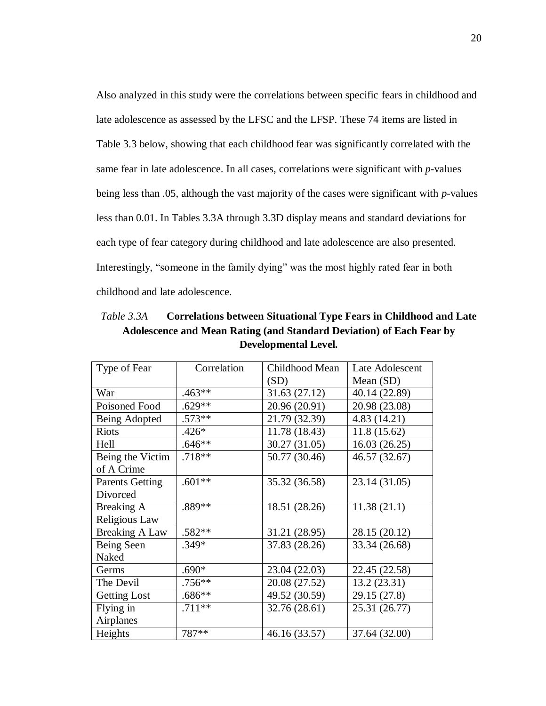Also analyzed in this study were the correlations between specific fears in childhood and late adolescence as assessed by the LFSC and the LFSP. These 74 items are listed in Table 3.3 below, showing that each childhood fear was significantly correlated with the same fear in late adolescence. In all cases, correlations were significant with *p*-values being less than .05, although the vast majority of the cases were significant with *p*-values less than 0.01. In Tables 3.3A through 3.3D display means and standard deviations for each type of fear category during childhood and late adolescence are also presented. Interestingly, "someone in the family dying" was the most highly rated fear in both childhood and late adolescence.

| Type of Fear                       | Correlation | Childhood Mean | Late Adolescent |
|------------------------------------|-------------|----------------|-----------------|
|                                    |             | (SD)           | Mean $(SD)$     |
| War                                | $.463**$    | 31.63 (27.12)  | 40.14 (22.89)   |
| Poisoned Food                      | $.629**$    | 20.96 (20.91)  | 20.98 (23.08)   |
| Being Adopted                      | $.573**$    | 21.79 (32.39)  | 4.83(14.21)     |
| <b>Riots</b>                       | $.426*$     | 11.78 (18.43)  | 11.8(15.62)     |
| Hell                               | $.646**$    | 30.27 (31.05)  | 16.03(26.25)    |
| Being the Victim<br>of A Crime     | $.718**$    | 50.77 (30.46)  | 46.57 (32.67)   |
| <b>Parents Getting</b><br>Divorced | $.601**$    | 35.32 (36.58)  | 23.14 (31.05)   |
| Breaking A                         | $.889**$    | 18.51 (28.26)  | 11.38(21.1)     |
| Religious Law                      |             |                |                 |
| <b>Breaking A Law</b>              | $.582**$    | 31.21 (28.95)  | 28.15 (20.12)   |
| Being Seen<br>Naked                | $.349*$     | 37.83 (28.26)  | 33.34 (26.68)   |
| Germs                              | $.690*$     | 23.04 (22.03)  | 22.45 (22.58)   |
| The Devil                          | $.756**$    | 20.08 (27.52)  | 13.2(23.31)     |
| <b>Getting Lost</b>                | $.686**$    | 49.52 (30.59)  | 29.15 (27.8)    |
| Flying in<br>Airplanes             | $.711**$    | 32.76 (28.61)  | 25.31 (26.77)   |
| Heights                            | 787**       | 46.16 (33.57)  | 37.64 (32.00)   |

*Table 3.3A* **Correlations between Situational Type Fears in Childhood and Late Adolescence and Mean Rating (and Standard Deviation) of Each Fear by Developmental Level.**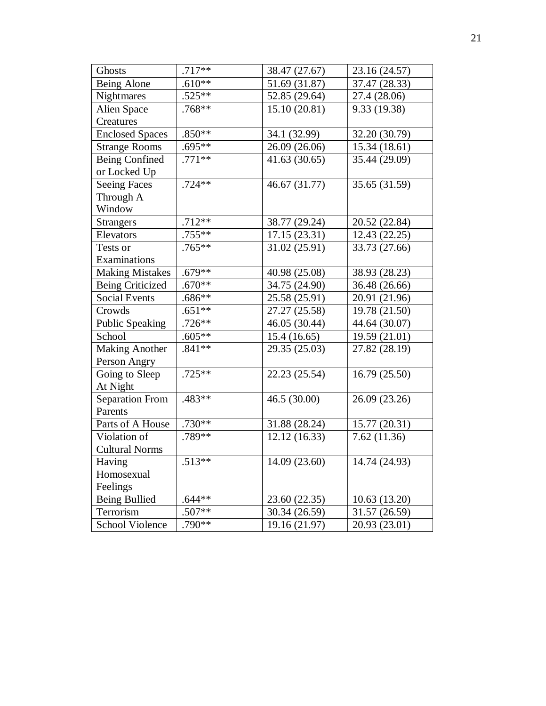| $.717**$<br>Ghosts<br>38.47 (27.67)<br>23.16 (24.57)<br>$.610**$<br>Being Alone<br>51.69 (31.87)<br>37.47 (28.33)<br>$.525**$<br>Nightmares<br>52.85 (29.64)<br>27.4 (28.06)<br>.768**<br>Alien Space<br>15.10 (20.81)<br>9.33 (19.38)<br>Creatures<br>$.850**$<br><b>Enclosed Spaces</b><br>34.1 (32.99)<br>32.20 (30.79)<br>$.695**$<br>26.09 (26.06)<br>15.34 (18.61)<br><b>Strange Rooms</b><br>$.771**$<br><b>Being Confined</b><br>35.44 (29.09)<br>41.63(30.65)<br>or Locked Up<br>$.724**$<br>46.67 (31.77)<br>35.65 (31.59)<br><b>Seeing Faces</b><br>Through A<br>Window<br>$.712**$<br>38.77 (29.24)<br><b>Strangers</b><br>20.52 (22.84)<br>$.755**$<br>Elevators<br>17.15(23.31)<br>12.43 (22.25)<br>$.765***$<br>31.02 (25.91)<br>33.73 (27.66)<br>Tests or<br>Examinations |
|-------------------------------------------------------------------------------------------------------------------------------------------------------------------------------------------------------------------------------------------------------------------------------------------------------------------------------------------------------------------------------------------------------------------------------------------------------------------------------------------------------------------------------------------------------------------------------------------------------------------------------------------------------------------------------------------------------------------------------------------------------------------------------------------|
|                                                                                                                                                                                                                                                                                                                                                                                                                                                                                                                                                                                                                                                                                                                                                                                           |
|                                                                                                                                                                                                                                                                                                                                                                                                                                                                                                                                                                                                                                                                                                                                                                                           |
|                                                                                                                                                                                                                                                                                                                                                                                                                                                                                                                                                                                                                                                                                                                                                                                           |
|                                                                                                                                                                                                                                                                                                                                                                                                                                                                                                                                                                                                                                                                                                                                                                                           |
|                                                                                                                                                                                                                                                                                                                                                                                                                                                                                                                                                                                                                                                                                                                                                                                           |
|                                                                                                                                                                                                                                                                                                                                                                                                                                                                                                                                                                                                                                                                                                                                                                                           |
|                                                                                                                                                                                                                                                                                                                                                                                                                                                                                                                                                                                                                                                                                                                                                                                           |
|                                                                                                                                                                                                                                                                                                                                                                                                                                                                                                                                                                                                                                                                                                                                                                                           |
|                                                                                                                                                                                                                                                                                                                                                                                                                                                                                                                                                                                                                                                                                                                                                                                           |
|                                                                                                                                                                                                                                                                                                                                                                                                                                                                                                                                                                                                                                                                                                                                                                                           |
|                                                                                                                                                                                                                                                                                                                                                                                                                                                                                                                                                                                                                                                                                                                                                                                           |
|                                                                                                                                                                                                                                                                                                                                                                                                                                                                                                                                                                                                                                                                                                                                                                                           |
|                                                                                                                                                                                                                                                                                                                                                                                                                                                                                                                                                                                                                                                                                                                                                                                           |
|                                                                                                                                                                                                                                                                                                                                                                                                                                                                                                                                                                                                                                                                                                                                                                                           |
|                                                                                                                                                                                                                                                                                                                                                                                                                                                                                                                                                                                                                                                                                                                                                                                           |
|                                                                                                                                                                                                                                                                                                                                                                                                                                                                                                                                                                                                                                                                                                                                                                                           |
| $.679**$<br><b>Making Mistakes</b><br>40.98 (25.08)<br>38.93 (28.23)                                                                                                                                                                                                                                                                                                                                                                                                                                                                                                                                                                                                                                                                                                                      |
| $.670**$<br><b>Being Criticized</b><br>34.75 (24.90)<br>36.48 (26.66)                                                                                                                                                                                                                                                                                                                                                                                                                                                                                                                                                                                                                                                                                                                     |
| $.686**$<br><b>Social Events</b><br>25.58 (25.91)<br>20.91 (21.96)                                                                                                                                                                                                                                                                                                                                                                                                                                                                                                                                                                                                                                                                                                                        |
| $.651**$<br>27.27 (25.58)<br>19.78 (21.50)<br>Crowds                                                                                                                                                                                                                                                                                                                                                                                                                                                                                                                                                                                                                                                                                                                                      |
| Public Speaking<br>$.726**$<br>46.05 (30.44)<br>44.64 (30.07)                                                                                                                                                                                                                                                                                                                                                                                                                                                                                                                                                                                                                                                                                                                             |
| $.605**$<br>15.4(16.65)<br>19.59 (21.01)<br>School                                                                                                                                                                                                                                                                                                                                                                                                                                                                                                                                                                                                                                                                                                                                        |
| <b>Making Another</b><br>$.841**$<br>27.82 (28.19)<br>29.35 (25.03)                                                                                                                                                                                                                                                                                                                                                                                                                                                                                                                                                                                                                                                                                                                       |
| Person Angry                                                                                                                                                                                                                                                                                                                                                                                                                                                                                                                                                                                                                                                                                                                                                                              |
| $.725**$<br>22.23 (25.54)<br>16.79(25.50)<br>Going to Sleep                                                                                                                                                                                                                                                                                                                                                                                                                                                                                                                                                                                                                                                                                                                               |
| At Night                                                                                                                                                                                                                                                                                                                                                                                                                                                                                                                                                                                                                                                                                                                                                                                  |
| .483**<br><b>Separation From</b><br>46.5 (30.00)<br>26.09 (23.26)                                                                                                                                                                                                                                                                                                                                                                                                                                                                                                                                                                                                                                                                                                                         |
| Parents                                                                                                                                                                                                                                                                                                                                                                                                                                                                                                                                                                                                                                                                                                                                                                                   |
| Parts of A House<br>$.730**$<br>31.88 (28.24)<br>15.77 (20.31)                                                                                                                                                                                                                                                                                                                                                                                                                                                                                                                                                                                                                                                                                                                            |
| $.789**$<br>7.62(11.36)<br>12.12(16.33)<br>Violation of                                                                                                                                                                                                                                                                                                                                                                                                                                                                                                                                                                                                                                                                                                                                   |
| <b>Cultural Norms</b>                                                                                                                                                                                                                                                                                                                                                                                                                                                                                                                                                                                                                                                                                                                                                                     |
| $.513**$<br>14.09 (23.60)<br>14.74 (24.93)<br>Having                                                                                                                                                                                                                                                                                                                                                                                                                                                                                                                                                                                                                                                                                                                                      |
| Homosexual                                                                                                                                                                                                                                                                                                                                                                                                                                                                                                                                                                                                                                                                                                                                                                                |
| Feelings                                                                                                                                                                                                                                                                                                                                                                                                                                                                                                                                                                                                                                                                                                                                                                                  |
| $.644**$<br><b>Being Bullied</b><br>23.60 (22.35)<br>10.63(13.20)                                                                                                                                                                                                                                                                                                                                                                                                                                                                                                                                                                                                                                                                                                                         |
| Terrorism<br>.507**<br>30.34 (26.59)<br>31.57 (26.59)                                                                                                                                                                                                                                                                                                                                                                                                                                                                                                                                                                                                                                                                                                                                     |
| $.790**$<br>19.16 (21.97)<br><b>School Violence</b><br>20.93 (23.01)                                                                                                                                                                                                                                                                                                                                                                                                                                                                                                                                                                                                                                                                                                                      |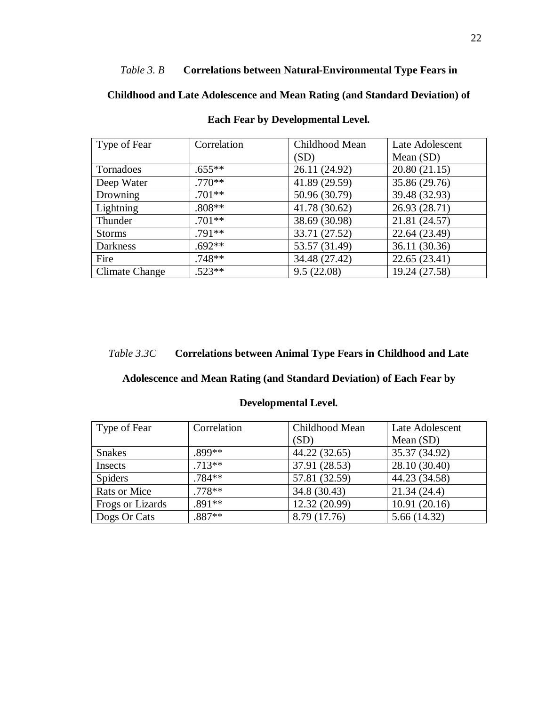# *Table 3. B* **Correlations between Natural-Environmental Type Fears in**

**Childhood and Late Adolescence and Mean Rating (and Standard Deviation) of** 

| Type of Fear    | Correlation | Childhood Mean | Late Adolescent |
|-----------------|-------------|----------------|-----------------|
|                 |             | (SD)           | Mean $(SD)$     |
| Tornadoes       | $.655***$   | 26.11 (24.92)  | 20.80(21.15)    |
| Deep Water      | $.770**$    | 41.89 (29.59)  | 35.86 (29.76)   |
| Drowning        | $.701**$    | 50.96 (30.79)  | 39.48 (32.93)   |
| Lightning       | $.808**$    | 41.78 (30.62)  | 26.93 (28.71)   |
| Thunder         | $.701**$    | 38.69 (30.98)  | 21.81 (24.57)   |
| <b>Storms</b>   | $.791**$    | 33.71 (27.52)  | 22.64 (23.49)   |
| <b>Darkness</b> | $.692**$    | 53.57 (31.49)  | 36.11 (30.36)   |
| Fire            | $.748**$    | 34.48 (27.42)  | 22.65 (23.41)   |
| Climate Change  | $.523**$    | 9.5(22.08)     | 19.24 (27.58)   |

# **Each Fear by Developmental Level.**

# *Table 3.3C* **Correlations between Animal Type Fears in Childhood and Late**

# **Adolescence and Mean Rating (and Standard Deviation) of Each Fear by**

| Type of Fear     | Correlation | Childhood Mean | Late Adolescent |
|------------------|-------------|----------------|-----------------|
|                  |             | (SD)           | Mean $(SD)$     |
| <b>Snakes</b>    | .899**      | 44.22 (32.65)  | 35.37 (34.92)   |
| Insects          | $.713**$    | 37.91 (28.53)  | 28.10 (30.40)   |
| <b>Spiders</b>   | .784**      | 57.81 (32.59)  | 44.23 (34.58)   |
| Rats or Mice     | $.778**$    | 34.8 (30.43)   | 21.34(24.4)     |
| Frogs or Lizards | .891 **     | 12.32 (20.99)  | 10.91(20.16)    |
| Dogs Or Cats     | $.887**$    | 8.79 (17.76)   | 5.66 (14.32)    |

# **Developmental Level.**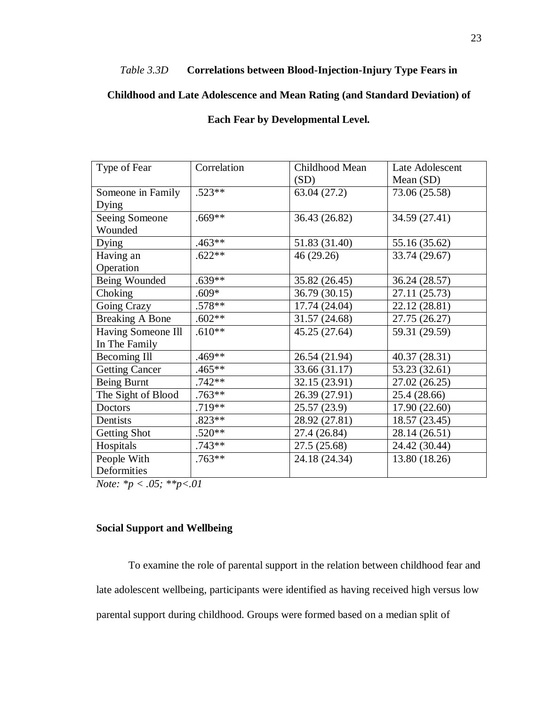# *Table 3.3D* **Correlations between Blood-Injection-Injury Type Fears in**

# **Childhood and Late Adolescence and Mean Rating (and Standard Deviation) of**

# **Each Fear by Developmental Level.**

| Type of Fear           | Correlation | Childhood Mean | Late Adolescent |
|------------------------|-------------|----------------|-----------------|
|                        |             | (SD)           | Mean $(SD)$     |
| Someone in Family      | $.523**$    | 63.04 (27.2)   | 73.06 (25.58)   |
| Dying                  |             |                |                 |
| Seeing Someone         | $.669**$    | 36.43 (26.82)  | 34.59 (27.41)   |
| Wounded                |             |                |                 |
| Dying                  | $.463**$    | 51.83 (31.40)  | 55.16 (35.62)   |
| Having an              | $.622**$    | 46 (29.26)     | 33.74 (29.67)   |
| Operation              |             |                |                 |
| Being Wounded          | $.639**$    | 35.82 (26.45)  | 36.24 (28.57)   |
| Choking                | .609*       | 36.79 (30.15)  | 27.11 (25.73)   |
| Going Crazy            | .578**      | 17.74 (24.04)  | 22.12 (28.81)   |
| <b>Breaking A Bone</b> | $.602**$    | 31.57 (24.68)  | 27.75 (26.27)   |
| Having Someone Ill     | $.610**$    | 45.25 (27.64)  | 59.31 (29.59)   |
| In The Family          |             |                |                 |
| Becoming Ill           | $.469**$    | 26.54 (21.94)  | 40.37 (28.31)   |
| <b>Getting Cancer</b>  | .465**      | 33.66 (31.17)  | 53.23 (32.61)   |
| Being Burnt            | $.742**$    | 32.15 (23.91)  | 27.02 (26.25)   |
| The Sight of Blood     | $.763**$    | 26.39 (27.91)  | 25.4 (28.66)    |
| Doctors                | .719**      | 25.57(23.9)    | 17.90 (22.60)   |
| Dentists               | $.823**$    | 28.92 (27.81)  | 18.57 (23.45)   |
| Getting Shot           | $.520**$    | 27.4 (26.84)   | 28.14 (26.51)   |
| Hospitals              | $.743**$    | 27.5 (25.68)   | 24.42 (30.44)   |
| People With            | $.763**$    | 24.18 (24.34)  | 13.80 (18.26)   |
| Deformities            |             |                |                 |

*Note: \*p < .05; \*\*p<.01*

# <span id="page-27-0"></span>**Social Support and Wellbeing**

To examine the role of parental support in the relation between childhood fear and late adolescent wellbeing, participants were identified as having received high versus low parental support during childhood. Groups were formed based on a median split of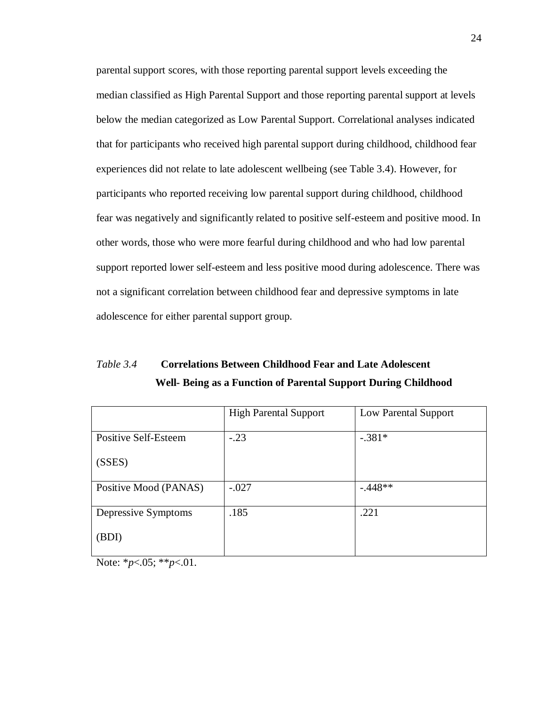parental support scores, with those reporting parental support levels exceeding the median classified as High Parental Support and those reporting parental support at levels below the median categorized as Low Parental Support. Correlational analyses indicated that for participants who received high parental support during childhood, childhood fear experiences did not relate to late adolescent wellbeing (see Table 3.4). However, for participants who reported receiving low parental support during childhood, childhood fear was negatively and significantly related to positive self-esteem and positive mood. In other words, those who were more fearful during childhood and who had low parental support reported lower self-esteem and less positive mood during adolescence. There was not a significant correlation between childhood fear and depressive symptoms in late adolescence for either parental support group.

*Table 3.4* **Correlations Between Childhood Fear and Late Adolescent Well- Being as a Function of Parental Support During Childhood**

|                       | <b>High Parental Support</b> | Low Parental Support |
|-----------------------|------------------------------|----------------------|
|                       |                              |                      |
| Positive Self-Esteem  | $-.23$                       | $-.381*$             |
| (SSES)                |                              |                      |
| Positive Mood (PANAS) | $-.027$                      | $-.448**$            |
|                       |                              |                      |
| Depressive Symptoms   | .185                         | .221                 |
| (BDI)                 |                              |                      |

Note: \**p*<.05; \*\**p*<.01.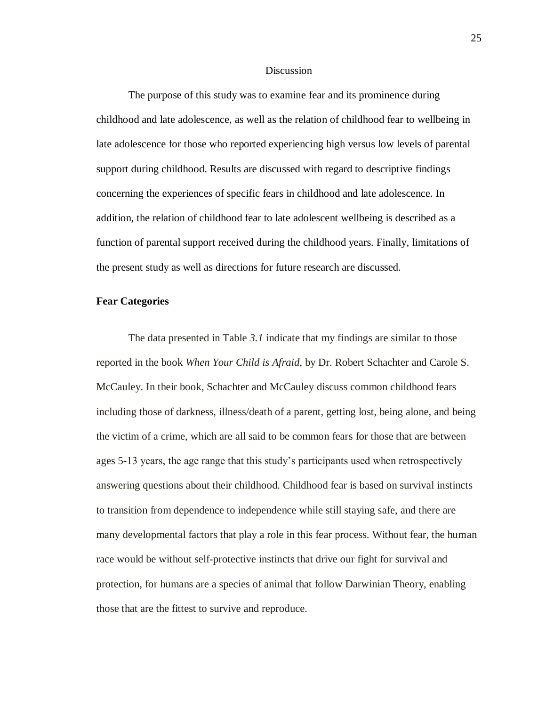### **Discussion**

<span id="page-29-0"></span>The purpose of this study was to examine fear and its prominence during childhood and late adolescence, as well as the relation of childhood fear to wellbeing in late adolescence for those who reported experiencing high versus low levels of parental support during childhood. Results are discussed with regard to descriptive findings concerning the experiences of specific fears in childhood and late adolescence. In addition, the relation of childhood fear to late adolescent wellbeing is described as a function of parental support received during the childhood years. Finally, limitations of the present study as well as directions for future research are discussed.

## <span id="page-29-1"></span>**Fear Categories**

The data presented in Table *3.1* indicate that my findings are similar to those reported in the book *When Your Child is Afraid,* by Dr. Robert Schachter and Carole S. McCauley. In their book, Schachter and McCauley discuss common childhood fears including those of darkness, illness/death of a parent, getting lost, being alone, and being the victim of a crime, which are all said to be common fears for those that are between ages 5-13 years, the age range that this study's participants used when retrospectively answering questions about their childhood. Childhood fear is based on survival instincts to transition from dependence to independence while still staying safe, and there are many developmental factors that play a role in this fear process. Without fear, the human race would be without self-protective instincts that drive our fight for survival and protection, for humans are a species of animal that follow Darwinian Theory, enabling those that are the fittest to survive and reproduce.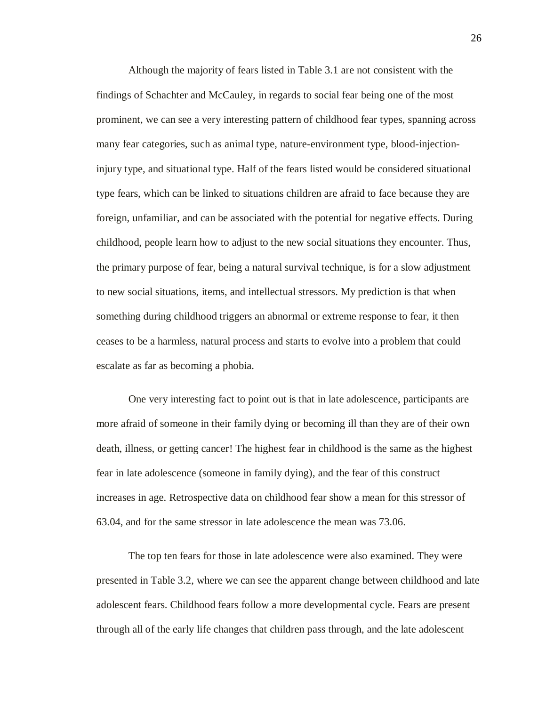Although the majority of fears listed in Table 3.1 are not consistent with the findings of Schachter and McCauley, in regards to social fear being one of the most prominent, we can see a very interesting pattern of childhood fear types, spanning across many fear categories, such as animal type, nature-environment type, blood-injectioninjury type, and situational type. Half of the fears listed would be considered situational type fears, which can be linked to situations children are afraid to face because they are foreign, unfamiliar, and can be associated with the potential for negative effects. During childhood, people learn how to adjust to the new social situations they encounter. Thus, the primary purpose of fear, being a natural survival technique, is for a slow adjustment to new social situations, items, and intellectual stressors. My prediction is that when something during childhood triggers an abnormal or extreme response to fear, it then ceases to be a harmless, natural process and starts to evolve into a problem that could escalate as far as becoming a phobia.

One very interesting fact to point out is that in late adolescence, participants are more afraid of someone in their family dying or becoming ill than they are of their own death, illness, or getting cancer! The highest fear in childhood is the same as the highest fear in late adolescence (someone in family dying), and the fear of this construct increases in age. Retrospective data on childhood fear show a mean for this stressor of 63.04, and for the same stressor in late adolescence the mean was 73.06.

The top ten fears for those in late adolescence were also examined. They were presented in Table 3.2, where we can see the apparent change between childhood and late adolescent fears. Childhood fears follow a more developmental cycle. Fears are present through all of the early life changes that children pass through, and the late adolescent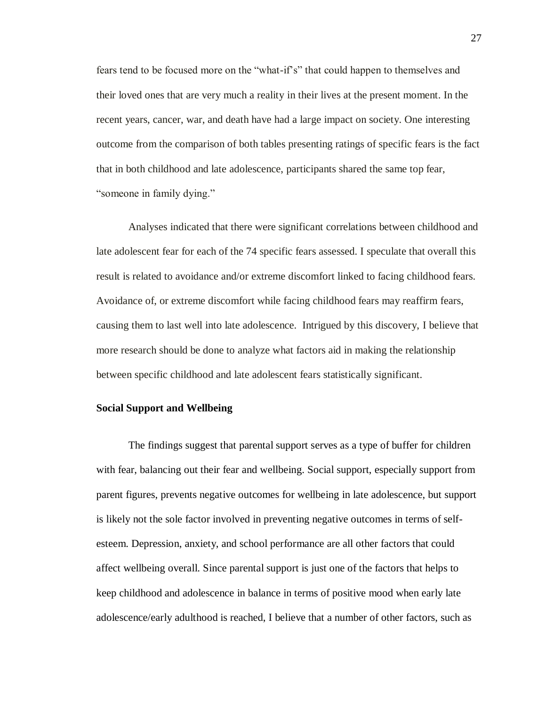fears tend to be focused more on the "what-if's" that could happen to themselves and their loved ones that are very much a reality in their lives at the present moment. In the recent years, cancer, war, and death have had a large impact on society. One interesting outcome from the comparison of both tables presenting ratings of specific fears is the fact that in both childhood and late adolescence, participants shared the same top fear, "someone in family dying."

Analyses indicated that there were significant correlations between childhood and late adolescent fear for each of the 74 specific fears assessed. I speculate that overall this result is related to avoidance and/or extreme discomfort linked to facing childhood fears. Avoidance of, or extreme discomfort while facing childhood fears may reaffirm fears, causing them to last well into late adolescence. Intrigued by this discovery, I believe that more research should be done to analyze what factors aid in making the relationship between specific childhood and late adolescent fears statistically significant.

### <span id="page-31-0"></span>**Social Support and Wellbeing**

The findings suggest that parental support serves as a type of buffer for children with fear, balancing out their fear and wellbeing. Social support, especially support from parent figures, prevents negative outcomes for wellbeing in late adolescence, but support is likely not the sole factor involved in preventing negative outcomes in terms of selfesteem. Depression, anxiety, and school performance are all other factors that could affect wellbeing overall. Since parental support is just one of the factors that helps to keep childhood and adolescence in balance in terms of positive mood when early late adolescence/early adulthood is reached, I believe that a number of other factors, such as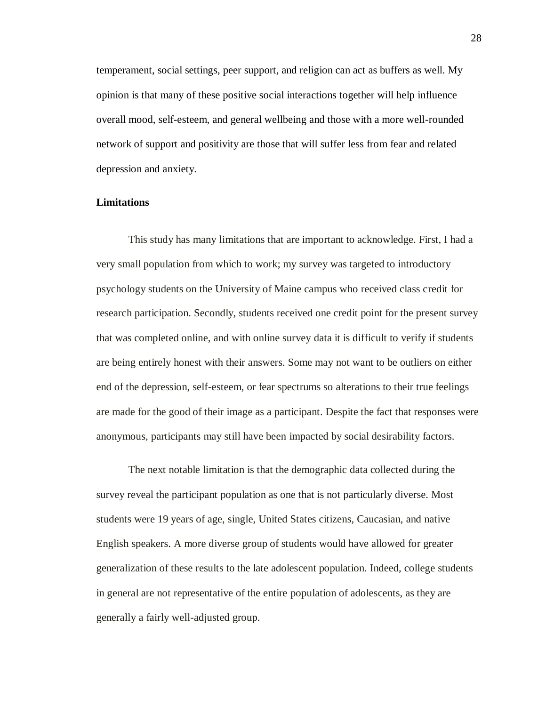temperament, social settings, peer support, and religion can act as buffers as well. My opinion is that many of these positive social interactions together will help influence overall mood, self-esteem, and general wellbeing and those with a more well-rounded network of support and positivity are those that will suffer less from fear and related depression and anxiety.

#### <span id="page-32-0"></span>**Limitations**

This study has many limitations that are important to acknowledge. First, I had a very small population from which to work; my survey was targeted to introductory psychology students on the University of Maine campus who received class credit for research participation. Secondly, students received one credit point for the present survey that was completed online, and with online survey data it is difficult to verify if students are being entirely honest with their answers. Some may not want to be outliers on either end of the depression, self-esteem, or fear spectrums so alterations to their true feelings are made for the good of their image as a participant. Despite the fact that responses were anonymous, participants may still have been impacted by social desirability factors.

The next notable limitation is that the demographic data collected during the survey reveal the participant population as one that is not particularly diverse. Most students were 19 years of age, single, United States citizens, Caucasian, and native English speakers. A more diverse group of students would have allowed for greater generalization of these results to the late adolescent population. Indeed, college students in general are not representative of the entire population of adolescents, as they are generally a fairly well-adjusted group.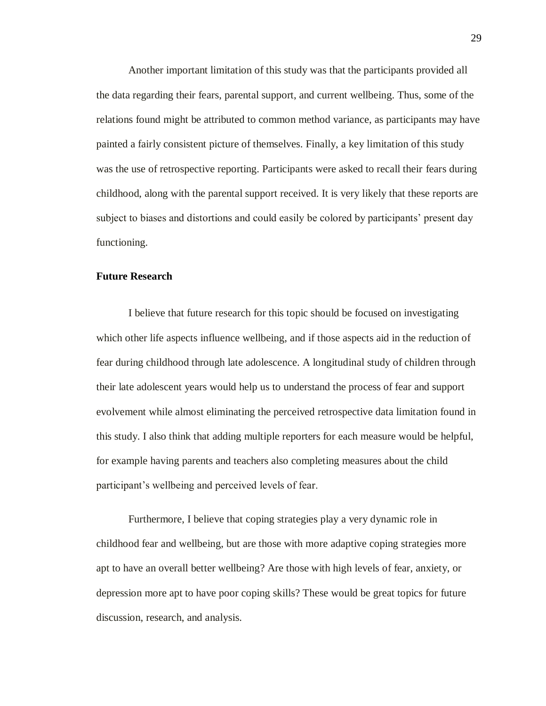Another important limitation of this study was that the participants provided all the data regarding their fears, parental support, and current wellbeing. Thus, some of the relations found might be attributed to common method variance, as participants may have painted a fairly consistent picture of themselves. Finally, a key limitation of this study was the use of retrospective reporting. Participants were asked to recall their fears during childhood, along with the parental support received. It is very likely that these reports are subject to biases and distortions and could easily be colored by participants' present day functioning.

## <span id="page-33-0"></span>**Future Research**

I believe that future research for this topic should be focused on investigating which other life aspects influence wellbeing, and if those aspects aid in the reduction of fear during childhood through late adolescence. A longitudinal study of children through their late adolescent years would help us to understand the process of fear and support evolvement while almost eliminating the perceived retrospective data limitation found in this study. I also think that adding multiple reporters for each measure would be helpful, for example having parents and teachers also completing measures about the child participant's wellbeing and perceived levels of fear.

Furthermore, I believe that coping strategies play a very dynamic role in childhood fear and wellbeing, but are those with more adaptive coping strategies more apt to have an overall better wellbeing? Are those with high levels of fear, anxiety, or depression more apt to have poor coping skills? These would be great topics for future discussion, research, and analysis.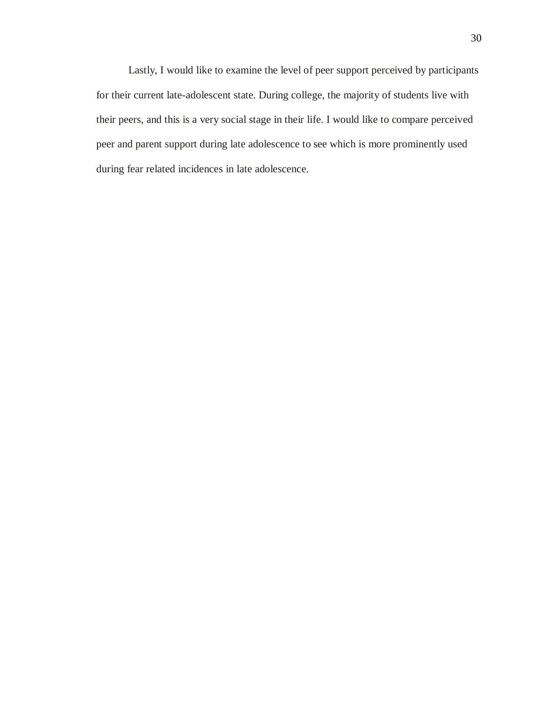Lastly, I would like to examine the level of peer support perceived by participants for their current late-adolescent state. During college, the majority of students live with their peers, and this is a very social stage in their life. I would like to compare perceived peer and parent support during late adolescence to see which is more prominently used during fear related incidences in late adolescence.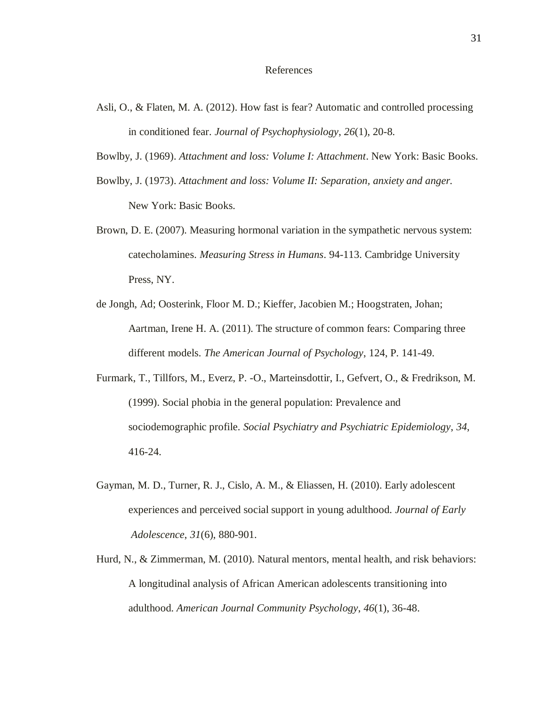#### References

- <span id="page-35-0"></span>Asli, O., & Flaten, M. A. (2012). How fast is fear? Automatic and controlled processing in conditioned fear. *Journal of Psychophysiology*, *26*(1), 20-8.
- Bowlby, J. (1969). *Attachment and loss: Volume I: Attachment*. New York: Basic Books.
- Bowlby, J. (1973). *Attachment and loss: Volume II: Separation, anxiety and anger.* New York: Basic Books.
- Brown, D. E. (2007). Measuring hormonal variation in the sympathetic nervous system: catecholamines. *Measuring Stress in Humans*. 94-113. Cambridge University Press, NY.
- de Jongh, Ad; Oosterink, Floor M. D.; Kieffer, Jacobien M.; Hoogstraten, Johan; Aartman, Irene H. A. (2011). The structure of common fears: Comparing three different models. *The American Journal of Psychology*, 124, P. 141-49.
- Furmark, T., Tillfors, M., Everz, P. -O., Marteinsdottir, I., Gefvert, O., & Fredrikson, M. (1999). Social phobia in the general population: Prevalence and sociodemographic profile. *Social Psychiatry and Psychiatric Epidemiology*, *34*, 416-24.
- Gayman, M. D., Turner, R. J., Cislo, A. M., & Eliassen, H. (2010). Early adolescent experiences and perceived social support in young adulthood. *Journal of Early Adolescence*, *31*(6), 880-901.
- Hurd, N., & Zimmerman, M. (2010). Natural mentors, mental health, and risk behaviors: A longitudinal analysis of African American adolescents transitioning into adulthood. *American Journal Community Psychology*, *46*(1), 36-48.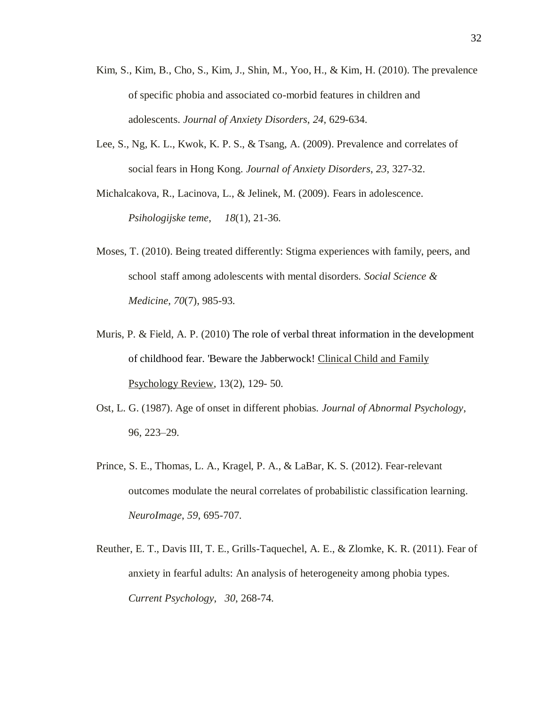- Kim, S., Kim, B., Cho, S., Kim, J., Shin, M., Yoo, H., & Kim, H. (2010). The prevalence of specific phobia and associated co-morbid features in children and adolescents. *Journal of Anxiety Disorders*, *24*, 629-634.
- Lee, S., Ng, K. L., Kwok, K. P. S., & Tsang, A. (2009). Prevalence and correlates of social fears in Hong Kong. *Journal of Anxiety Disorders*, *23*, 327-32.

Michalcakova, R., Lacinova, L., & Jelinek, M. (2009). Fears in adolescence. *Psihologijske teme*, *18*(1), 21-36.

- Moses, T. (2010). Being treated differently: Stigma experiences with family, peers, and school staff among adolescents with mental disorders. *Social Science & Medicine*, *70*(7), 985-93.
- Muris, P. & Field, A. P. (2010) The role of verbal threat information in the development of childhood fear. 'Beware the Jabberwock! Clinical Child and Family Psychology Review, 13(2), 129- 50.
- Ost, L. G. (1987). Age of onset in different phobias. *Journal of Abnormal Psychology*, 96, 223–29.
- Prince, S. E., Thomas, L. A., Kragel, P. A., & LaBar, K. S. (2012). Fear-relevant outcomes modulate the neural correlates of probabilistic classification learning. *NeuroImage*, *59*, 695-707.
- Reuther, E. T., Davis III, T. E., Grills-Taquechel, A. E., & Zlomke, K. R. (2011). Fear of anxiety in fearful adults: An analysis of heterogeneity among phobia types. *Current Psychology*, *30*, 268-74.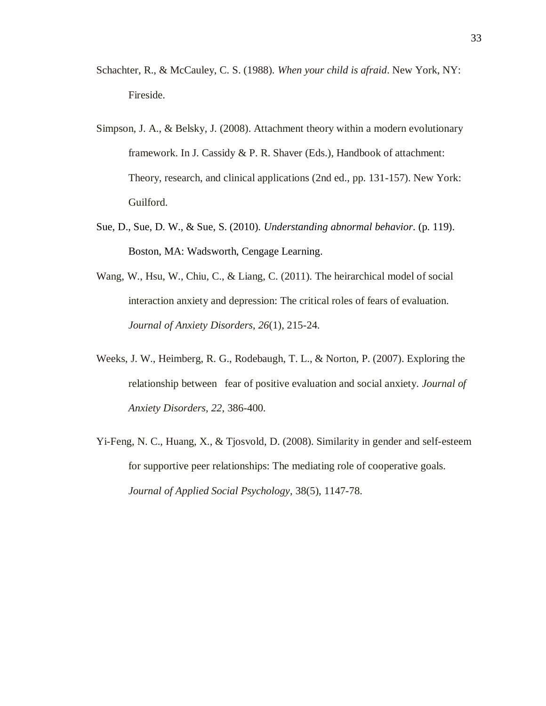- Schachter, R., & McCauley, C. S. (1988). *When your child is afraid*. New York, NY: Fireside.
- Simpson, J. A., & Belsky, J. (2008). Attachment theory within a modern evolutionary framework. In J. Cassidy & P. R. Shaver (Eds.), Handbook of attachment: Theory, research, and clinical applications (2nd ed., pp. 131-157). New York: Guilford.
- Sue, D., Sue, D. W., & Sue, S. (2010). *Understanding abnormal behavior*. (p. 119). Boston, MA: Wadsworth, Cengage Learning.
- Wang, W., Hsu, W., Chiu, C., & Liang, C. (2011). The heirarchical model of social interaction anxiety and depression: The critical roles of fears of evaluation. *Journal of Anxiety Disorders*, *26*(1), 215-24.
- Weeks, J. W., Heimberg, R. G., Rodebaugh, T. L., & Norton, P. (2007). Exploring the relationship between fear of positive evaluation and social anxiety. *Journal of Anxiety Disorders*, *22*, 386-400.
- Yi-Feng, N. C., Huang, X., & Tjosvold, D. (2008). Similarity in gender and self-esteem for supportive peer relationships: The mediating role of cooperative goals. *Journal of Applied Social Psychology*, 38(5), 1147-78.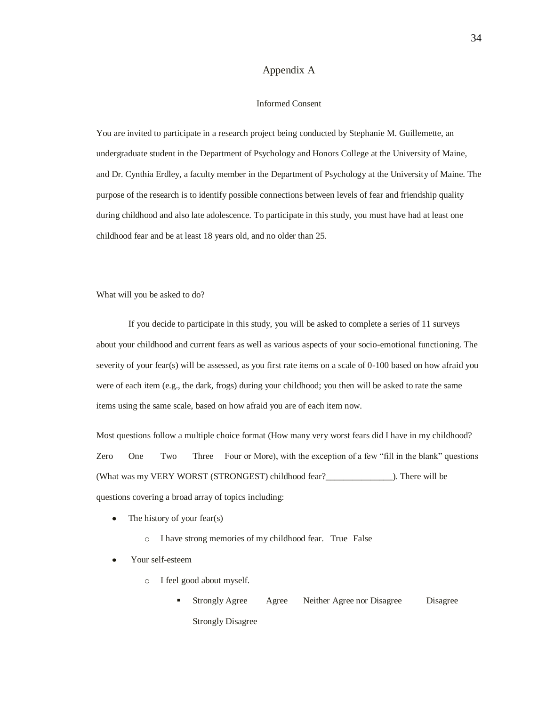#### Appendix A

#### Informed Consent

<span id="page-38-0"></span>You are invited to participate in a research project being conducted by Stephanie M. Guillemette, an undergraduate student in the Department of Psychology and Honors College at the University of Maine, and Dr. Cynthia Erdley, a faculty member in the Department of Psychology at the University of Maine. The purpose of the research is to identify possible connections between levels of fear and friendship quality during childhood and also late adolescence. To participate in this study, you must have had at least one childhood fear and be at least 18 years old, and no older than 25.

What will you be asked to do?

If you decide to participate in this study, you will be asked to complete a series of 11 surveys about your childhood and current fears as well as various aspects of your socio-emotional functioning. The severity of your fear(s) will be assessed, as you first rate items on a scale of 0-100 based on how afraid you were of each item (e.g., the dark, frogs) during your childhood; you then will be asked to rate the same items using the same scale, based on how afraid you are of each item now.

Most questions follow a multiple choice format (How many very worst fears did I have in my childhood? Zero One Two Three Four or More), with the exception of a few "fill in the blank" questions (What was my VERY WORST (STRONGEST) childhood fear?\_\_\_\_\_\_\_\_\_\_\_\_\_\_\_). There will be questions covering a broad array of topics including:

- $\bullet$ The history of your fear(s)
	- o I have strong memories of my childhood fear. True False
- Your self-esteem
	- o I feel good about myself.
		- Strongly Agree Agree Neither Agree nor Disagree Disagree Strongly Disagree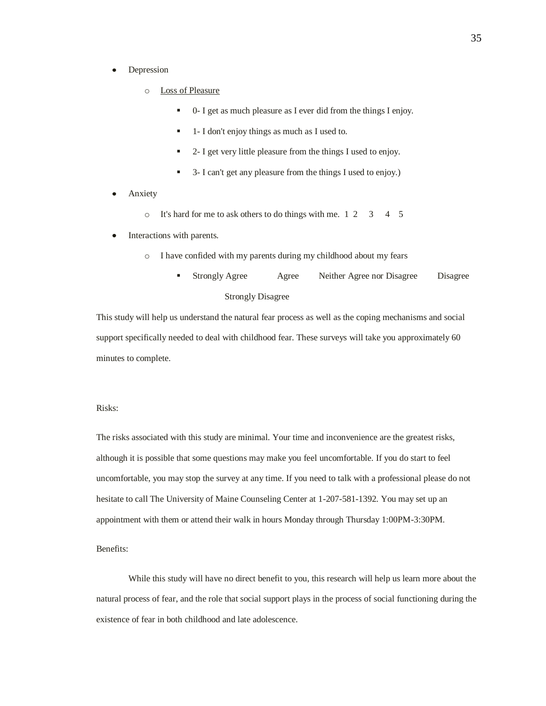- $\bullet$ Depression
	- o Loss of Pleasure
		- 0- I get as much pleasure as I ever did from the things I enjoy.
		- 1- I don't enjoy things as much as I used to.
		- 2- I get very little pleasure from the things I used to enjoy.
		- 3- I can't get any pleasure from the things I used to enjoy.)
- Anxiety
	- o It's hard for me to ask others to do things with me. 1 2 3 4 5
- Interactions with parents.
	- o I have confided with my parents during my childhood about my fears
		- Strongly Agree Agree Neither Agree nor Disagree Disagree Strongly Disagree

This study will help us understand the natural fear process as well as the coping mechanisms and social support specifically needed to deal with childhood fear. These surveys will take you approximately 60 minutes to complete.

Risks:

The risks associated with this study are minimal. Your time and inconvenience are the greatest risks, although it is possible that some questions may make you feel uncomfortable. If you do start to feel uncomfortable, you may stop the survey at any time. If you need to talk with a professional please do not hesitate to call The University of Maine Counseling Center at 1-207-581-1392. You may set up an appointment with them or attend their walk in hours Monday through Thursday 1:00PM-3:30PM.

Benefits:

While this study will have no direct benefit to you, this research will help us learn more about the natural process of fear, and the role that social support plays in the process of social functioning during the existence of fear in both childhood and late adolescence.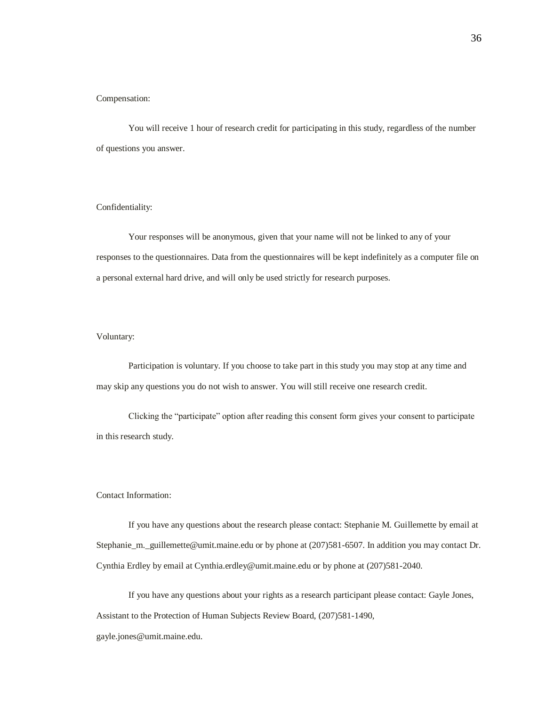#### Compensation:

You will receive 1 hour of research credit for participating in this study, regardless of the number of questions you answer.

#### Confidentiality:

Your responses will be anonymous, given that your name will not be linked to any of your responses to the questionnaires. Data from the questionnaires will be kept indefinitely as a computer file on a personal external hard drive, and will only be used strictly for research purposes.

#### Voluntary:

Participation is voluntary. If you choose to take part in this study you may stop at any time and may skip any questions you do not wish to answer. You will still receive one research credit.

Clicking the "participate" option after reading this consent form gives your consent to participate in this research study.

#### Contact Information:

If you have any questions about the research please contact: Stephanie M. Guillemette by email at Stephanie\_m.\_guillemette@umit.maine.edu or by phone at (207)581-6507. In addition you may contact Dr. Cynthia Erdley by email at Cynthia.erdley@umit.maine.edu or by phone at (207)581-2040.

If you have any questions about your rights as a research participant please contact: Gayle Jones, Assistant to the Protection of Human Subjects Review Board, (207)581-1490,

gayle.jones@umit.maine.edu.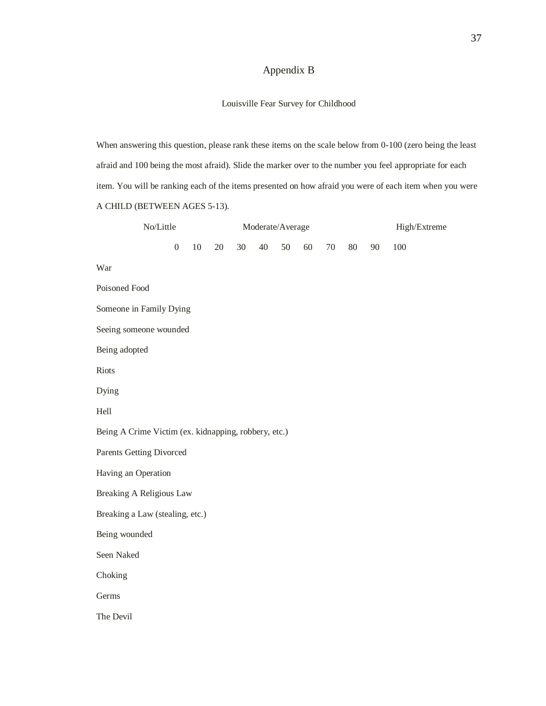# Appendix B

### Louisville Fear Survey for Childhood

<span id="page-41-0"></span>When answering this question, please rank these items on the scale below from 0-100 (zero being the least afraid and 100 being the most afraid). Slide the marker over to the number you feel appropriate for each item. You will be ranking each of the items presented on how afraid you were of each item when you were A CHILD (BETWEEN AGES 5-13).

| No/Little                                            |                  |        | Moderate/Average |    |        |    |    |        |    | High/Extreme |     |  |
|------------------------------------------------------|------------------|--------|------------------|----|--------|----|----|--------|----|--------------|-----|--|
|                                                      | $\boldsymbol{0}$ | $10\,$ | 20               | 30 | $40\,$ | 50 | 60 | $70\,$ | 80 | 90           | 100 |  |
| War                                                  |                  |        |                  |    |        |    |    |        |    |              |     |  |
| Poisoned Food                                        |                  |        |                  |    |        |    |    |        |    |              |     |  |
| Someone in Family Dying                              |                  |        |                  |    |        |    |    |        |    |              |     |  |
| Seeing someone wounded                               |                  |        |                  |    |        |    |    |        |    |              |     |  |
| Being adopted                                        |                  |        |                  |    |        |    |    |        |    |              |     |  |
| Riots                                                |                  |        |                  |    |        |    |    |        |    |              |     |  |
| Dying                                                |                  |        |                  |    |        |    |    |        |    |              |     |  |
| Hell                                                 |                  |        |                  |    |        |    |    |        |    |              |     |  |
| Being A Crime Victim (ex. kidnapping, robbery, etc.) |                  |        |                  |    |        |    |    |        |    |              |     |  |
| <b>Parents Getting Divorced</b>                      |                  |        |                  |    |        |    |    |        |    |              |     |  |
| Having an Operation                                  |                  |        |                  |    |        |    |    |        |    |              |     |  |
| <b>Breaking A Religious Law</b>                      |                  |        |                  |    |        |    |    |        |    |              |     |  |
| Breaking a Law (stealing, etc.)                      |                  |        |                  |    |        |    |    |        |    |              |     |  |
| Being wounded                                        |                  |        |                  |    |        |    |    |        |    |              |     |  |
| Seen Naked                                           |                  |        |                  |    |        |    |    |        |    |              |     |  |
| Choking                                              |                  |        |                  |    |        |    |    |        |    |              |     |  |
| Germs                                                |                  |        |                  |    |        |    |    |        |    |              |     |  |
| The Devil                                            |                  |        |                  |    |        |    |    |        |    |              |     |  |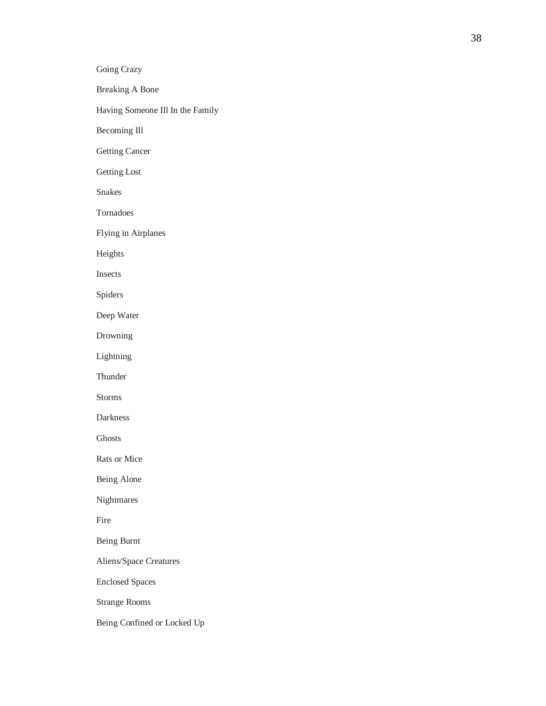Breaking A Bone

Having Someone Ill In the Family

Becoming Ill

Getting Cancer

Getting Lost

Snakes

Tornadoes

Flying in Airplanes

Heights

Insects

Spiders

Deep Water

Drowning

Lightning

**Thunder** 

Storms

Darkness

Ghosts

Rats or Mice

Being Alone

Nightmares

Fire

Being Burnt

Aliens/Space Creatures

Enclosed Spaces

Strange Rooms

Being Confined or Locked Up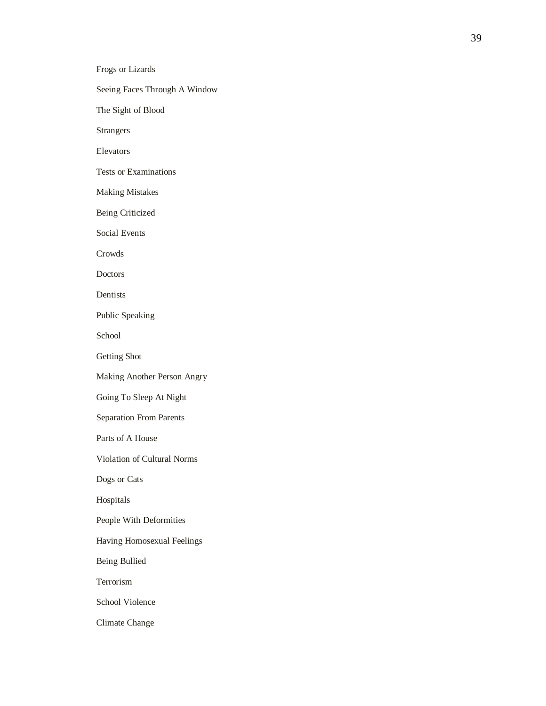Frogs or Lizards Seeing Faces Through A Window The Sight of Blood Tests or Examinations Making Mistakes Being Criticized Social Events

Dentists

Crowds

Doctors

Strangers

Elevators

Public Speaking

School

Getting Shot

Making Another Person Angry

Going To Sleep At Night

Separation From Parents

Parts of A House

Violation of Cultural Norms

Dogs or Cats

Hospitals

People With Deformities

Having Homosexual Feelings

Being Bullied

Terrorism

School Violence

Climate Change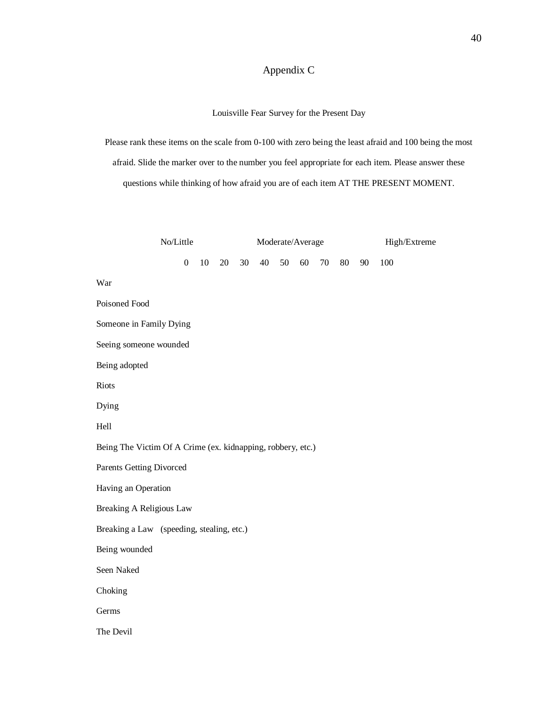# Appendix C

Louisville Fear Survey for the Present Day

<span id="page-44-0"></span>Please rank these items on the scale from 0-100 with zero being the least afraid and 100 being the most afraid. Slide the marker over to the number you feel appropriate for each item. Please answer these questions while thinking of how afraid you are of each item AT THE PRESENT MOMENT.

|                                                             | No/Little        |        |    | Moderate/Average |    |    |    |    |    |    | High/Extreme |  |  |
|-------------------------------------------------------------|------------------|--------|----|------------------|----|----|----|----|----|----|--------------|--|--|
|                                                             | $\boldsymbol{0}$ | $10\,$ | 20 | 30               | 40 | 50 | 60 | 70 | 80 | 90 | 100          |  |  |
| War                                                         |                  |        |    |                  |    |    |    |    |    |    |              |  |  |
| Poisoned Food                                               |                  |        |    |                  |    |    |    |    |    |    |              |  |  |
| Someone in Family Dying                                     |                  |        |    |                  |    |    |    |    |    |    |              |  |  |
| Seeing someone wounded                                      |                  |        |    |                  |    |    |    |    |    |    |              |  |  |
| Being adopted                                               |                  |        |    |                  |    |    |    |    |    |    |              |  |  |
| Riots                                                       |                  |        |    |                  |    |    |    |    |    |    |              |  |  |
| Dying                                                       |                  |        |    |                  |    |    |    |    |    |    |              |  |  |
| Hell                                                        |                  |        |    |                  |    |    |    |    |    |    |              |  |  |
| Being The Victim Of A Crime (ex. kidnapping, robbery, etc.) |                  |        |    |                  |    |    |    |    |    |    |              |  |  |
| Parents Getting Divorced                                    |                  |        |    |                  |    |    |    |    |    |    |              |  |  |
| Having an Operation                                         |                  |        |    |                  |    |    |    |    |    |    |              |  |  |
| <b>Breaking A Religious Law</b>                             |                  |        |    |                  |    |    |    |    |    |    |              |  |  |
| Breaking a Law (speeding, stealing, etc.)                   |                  |        |    |                  |    |    |    |    |    |    |              |  |  |
| Being wounded                                               |                  |        |    |                  |    |    |    |    |    |    |              |  |  |
| Seen Naked                                                  |                  |        |    |                  |    |    |    |    |    |    |              |  |  |
| Choking                                                     |                  |        |    |                  |    |    |    |    |    |    |              |  |  |
| Germs                                                       |                  |        |    |                  |    |    |    |    |    |    |              |  |  |
| The Devil                                                   |                  |        |    |                  |    |    |    |    |    |    |              |  |  |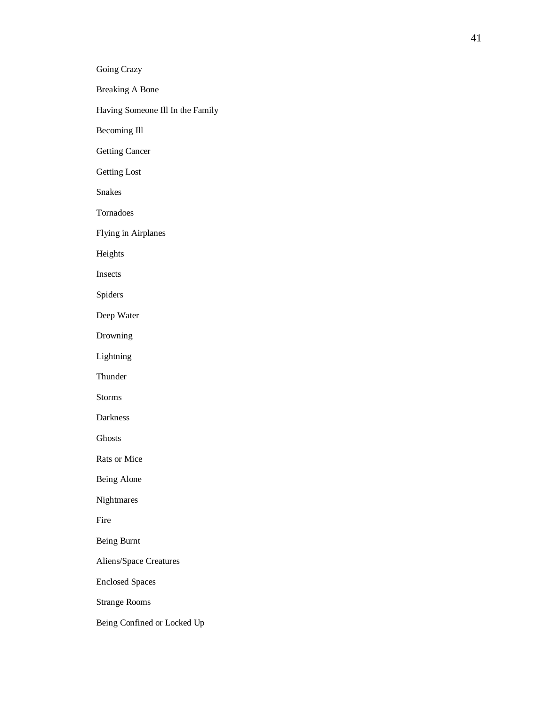Breaking A Bone

Having Someone Ill In the Family

Becoming Ill

Getting Cancer

Getting Lost

Snakes and the state of the state of the state of the state of the state of the state of the state of the state of the state of the state of the state of the state of the state of the state of the state of the state of the

Tornadoes

Flying in Airplanes

Heights

Insects **Insects** 

Spiders

Deep Water

Drowning

Lightning

Thunder and the state of the state of the state of the state of the state of the state of the state of the state of the state of the state of the state of the state of the state of the state of the state of the state of th

Storms and the state of the state of the state of the state of the state of the state of the state of the state of the state of the state of the state of the state of the state of the state of the state of the state of the

Darkness

Ghosts and the contract of the contract of the contract of the contract of the contract of the contract of the contract of the contract of the contract of the contract of the contract of the contract of the contract of the

Rats or Mice

Being Alone

Nightmares

Fire

Being Burnt

Aliens/Space Creatures

Enclosed Spaces

Strange Rooms

Being Confined or Locked Up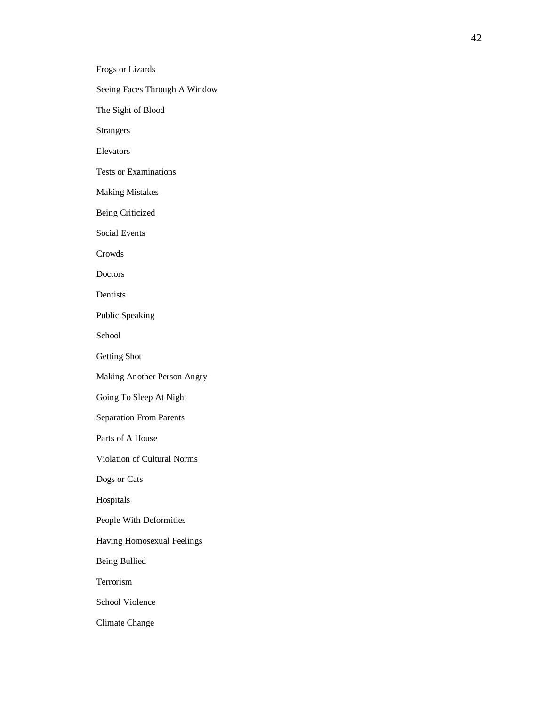Seeing Faces Through A Window

Frogs or Lizards

The Sight of Blood

Strangers

Elevators

Tests or Examinations

Making Mistakes

Being Criticized

Social Events

Crowds and the contract of the contract of the contract of the contract of the contract of the contract of the contract of the contract of the contract of the contract of the contract of the contract of the contract of the

Doctors and the contract of the contract of the contract of the contract of the contract of the contract of the contract of the contract of the contract of the contract of the contract of the contract of the contract of th

Dentists

Public Speaking

School

Getting Shot

Making Another Person Angry

Going To Sleep At Night

Separation From Parents

Parts of A House

Violation of Cultural Norms

Dogs or Cats

Hospitals

People With Deformities

Having Homosexual Feelings

Being Bullied

Terrorism

School Violence

Climate Change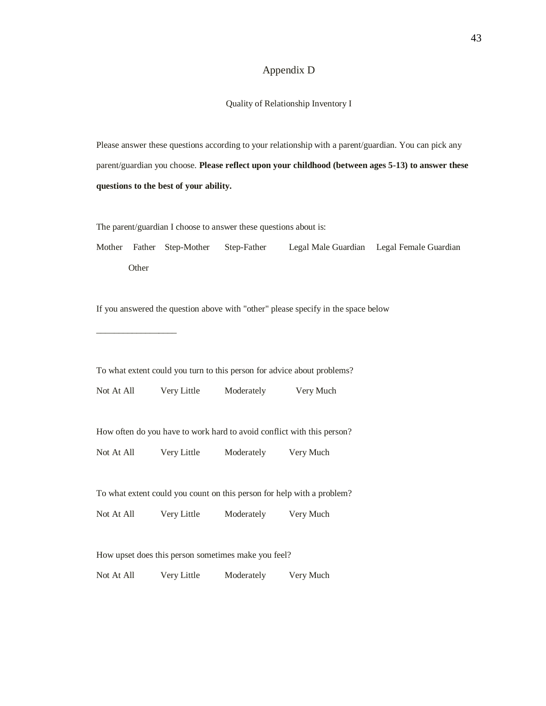## Appendix D

Quality of Relationship Inventory I

<span id="page-47-0"></span>Please answer these questions according to your relationship with a parent/guardian. You can pick any parent/guardian you choose. **Please reflect upon your childhood (between ages 5-13) to answer these questions to the best of your ability.**

The parent/guardian I choose to answer these questions about is:

Mother Father Step-Mother Step-Father Legal Male Guardian Legal Female Guardian **Other** 

If you answered the question above with "other" please specify in the space below

To what extent could you turn to this person for advice about problems?

Not At All Very Little Moderately Very Much

\_\_\_\_\_\_\_\_\_\_\_\_\_\_\_\_\_\_

How often do you have to work hard to avoid conflict with this person?

Not At All Very Little Moderately Very Much

To what extent could you count on this person for help with a problem?

Not At All Very Little Moderately Very Much

How upset does this person sometimes make you feel?

Not At All Very Little Moderately Very Much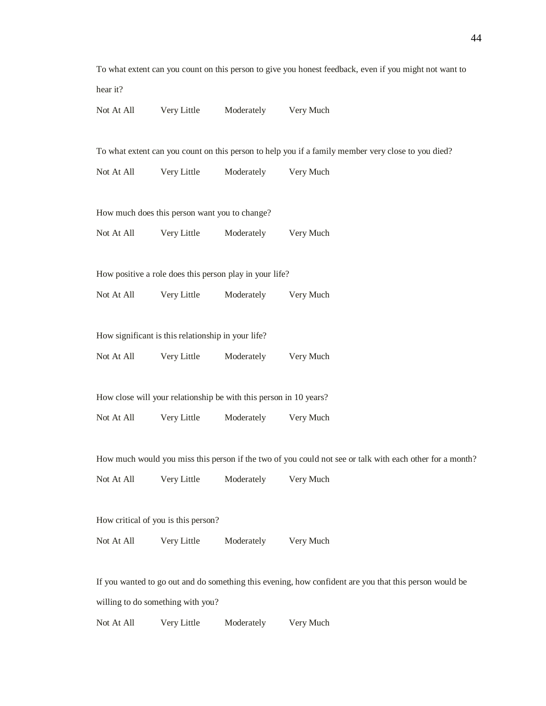|            |                                                    |                                                                   | To what extent can you count on this person to give you honest feedback, even if you might not want to   |
|------------|----------------------------------------------------|-------------------------------------------------------------------|----------------------------------------------------------------------------------------------------------|
| hear it?   |                                                    |                                                                   |                                                                                                          |
| Not At All | Very Little                                        | Moderately                                                        | Very Much                                                                                                |
|            |                                                    |                                                                   | To what extent can you count on this person to help you if a family member very close to you died?       |
| Not At All | Very Little                                        | Moderately                                                        | Very Much                                                                                                |
|            | How much does this person want you to change?      |                                                                   |                                                                                                          |
| Not At All | Very Little                                        |                                                                   | Moderately Very Much                                                                                     |
|            |                                                    | How positive a role does this person play in your life?           |                                                                                                          |
| Not At All | Very Little                                        | Moderately                                                        | Very Much                                                                                                |
|            | How significant is this relationship in your life? |                                                                   |                                                                                                          |
| Not At All | Very Little                                        | Moderately                                                        | Very Much                                                                                                |
|            |                                                    | How close will your relationship be with this person in 10 years? |                                                                                                          |
| Not At All | Very Little                                        | Moderately                                                        | Very Much                                                                                                |
|            |                                                    |                                                                   | How much would you miss this person if the two of you could not see or talk with each other for a month? |
| Not At All | Very Little                                        | Moderately Very Much                                              |                                                                                                          |
|            | How critical of you is this person?                |                                                                   |                                                                                                          |
| Not At All | Very Little                                        | Moderately                                                        | Very Much                                                                                                |
|            |                                                    |                                                                   | If you wanted to go out and do something this evening, how confident are you that this person would be   |
|            | willing to do something with you?                  |                                                                   |                                                                                                          |
|            |                                                    |                                                                   |                                                                                                          |

Not At All Very Little Moderately Very Much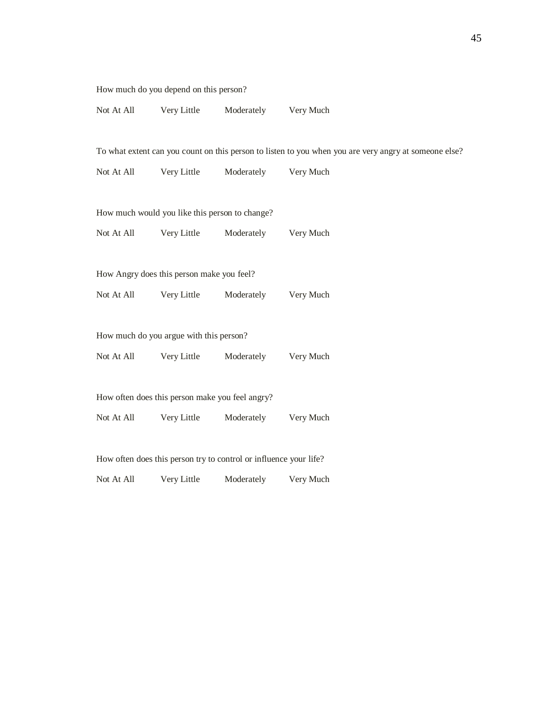How much do you depend on this person?

| Not At All | Very Little | Moderately | Very Much |
|------------|-------------|------------|-----------|
|------------|-------------|------------|-----------|

ou are very angry at someone else?

| To what extent can you count on this person to listen to you when yo |                                                                   |            |                      |  |  |  |  |
|----------------------------------------------------------------------|-------------------------------------------------------------------|------------|----------------------|--|--|--|--|
| Not At All                                                           | Very Little                                                       | Moderately | Very Much            |  |  |  |  |
|                                                                      |                                                                   |            |                      |  |  |  |  |
|                                                                      | How much would you like this person to change?                    |            |                      |  |  |  |  |
|                                                                      | Not At All Very Little                                            |            | Moderately Very Much |  |  |  |  |
|                                                                      |                                                                   |            |                      |  |  |  |  |
|                                                                      | How Angry does this person make you feel?                         |            |                      |  |  |  |  |
|                                                                      | Not At All Very Little Moderately                                 |            | Very Much            |  |  |  |  |
|                                                                      |                                                                   |            |                      |  |  |  |  |
|                                                                      | How much do you argue with this person?                           |            |                      |  |  |  |  |
|                                                                      | Not At All Very Little                                            | Moderately | Very Much            |  |  |  |  |
|                                                                      |                                                                   |            |                      |  |  |  |  |
|                                                                      | How often does this person make you feel angry?                   |            |                      |  |  |  |  |
| Not At All                                                           | Very Little                                                       | Moderately | Very Much            |  |  |  |  |
|                                                                      |                                                                   |            |                      |  |  |  |  |
|                                                                      | How often does this person try to control or influence your life? |            |                      |  |  |  |  |
| Not At All                                                           | Very Little                                                       | Moderately | Very Much            |  |  |  |  |
|                                                                      |                                                                   |            |                      |  |  |  |  |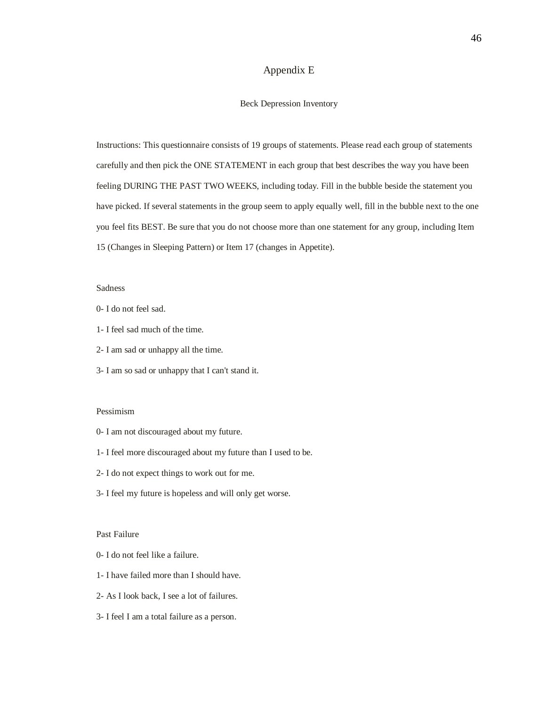## Appendix E

#### Beck Depression Inventory

<span id="page-50-0"></span>Instructions: This questionnaire consists of 19 groups of statements. Please read each group of statements carefully and then pick the ONE STATEMENT in each group that best describes the way you have been feeling DURING THE PAST TWO WEEKS, including today. Fill in the bubble beside the statement you have picked. If several statements in the group seem to apply equally well, fill in the bubble next to the one you feel fits BEST. Be sure that you do not choose more than one statement for any group, including Item 15 (Changes in Sleeping Pattern) or Item 17 (changes in Appetite).

#### Sadness

- 0- I do not feel sad.
- 1- I feel sad much of the time.
- 2- I am sad or unhappy all the time.
- 3- I am so sad or unhappy that I can't stand it.

#### Pessimism

- 0- I am not discouraged about my future.
- 1- I feel more discouraged about my future than I used to be.
- 2- I do not expect things to work out for me.
- 3- I feel my future is hopeless and will only get worse.

#### Past Failure

- 0- I do not feel like a failure.
- 1- I have failed more than I should have.
- 2- As I look back, I see a lot of failures.
- 3- I feel I am a total failure as a person.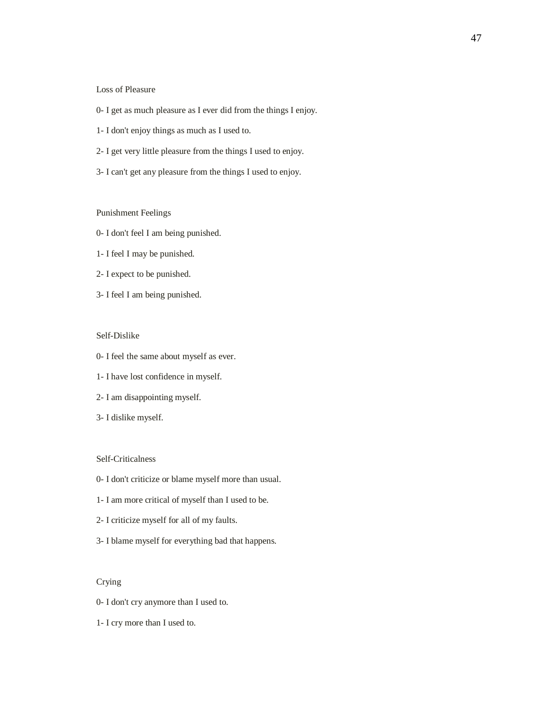#### Loss of Pleasure

- 0- I get as much pleasure as I ever did from the things I enjoy.
- 1- I don't enjoy things as much as I used to.
- 2- I get very little pleasure from the things I used to enjoy.
- 3- I can't get any pleasure from the things I used to enjoy.

#### Punishment Feelings

- 0- I don't feel I am being punished.
- 1- I feel I may be punished.
- 2- I expect to be punished.
- 3- I feel I am being punished.

#### Self-Dislike

- 0- I feel the same about myself as ever.
- 1- I have lost confidence in myself.
- 2- I am disappointing myself.
- 3- I dislike myself.

#### Self-Criticalness

- 0- I don't criticize or blame myself more than usual.
- 1- I am more critical of myself than I used to be.
- 2- I criticize myself for all of my faults.
- 3- I blame myself for everything bad that happens.

### Crying

- 0- I don't cry anymore than I used to.
- 1- I cry more than I used to.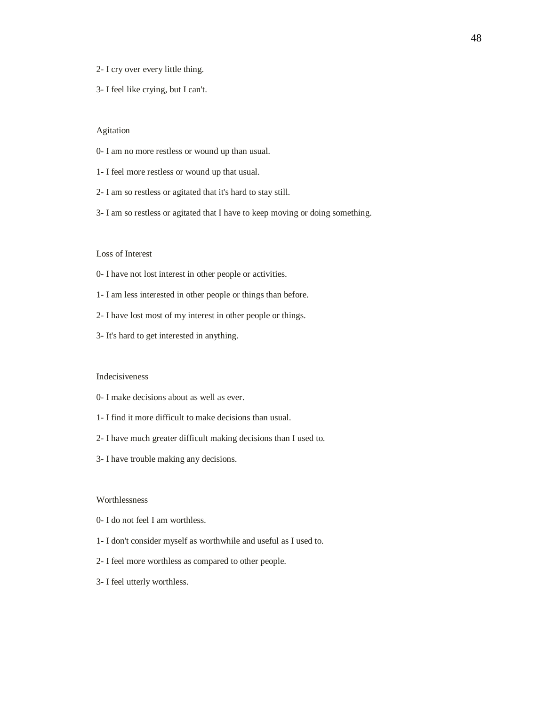- 2- I cry over every little thing.
- 3- I feel like crying, but I can't.

#### Agitation

- 0- I am no more restless or wound up than usual.
- 1- I feel more restless or wound up that usual.
- 2- I am so restless or agitated that it's hard to stay still.
- 3- I am so restless or agitated that I have to keep moving or doing something.

#### Loss of Interest

- 0- I have not lost interest in other people or activities.
- 1- I am less interested in other people or things than before.
- 2- I have lost most of my interest in other people or things.
- 3- It's hard to get interested in anything.

#### Indecisiveness

- 0- I make decisions about as well as ever.
- 1- I find it more difficult to make decisions than usual.
- 2- I have much greater difficult making decisions than I used to.
- 3- I have trouble making any decisions.

#### **Worthlessness**

- 0- I do not feel I am worthless.
- 1- I don't consider myself as worthwhile and useful as I used to.
- 2- I feel more worthless as compared to other people.
- 3- I feel utterly worthless.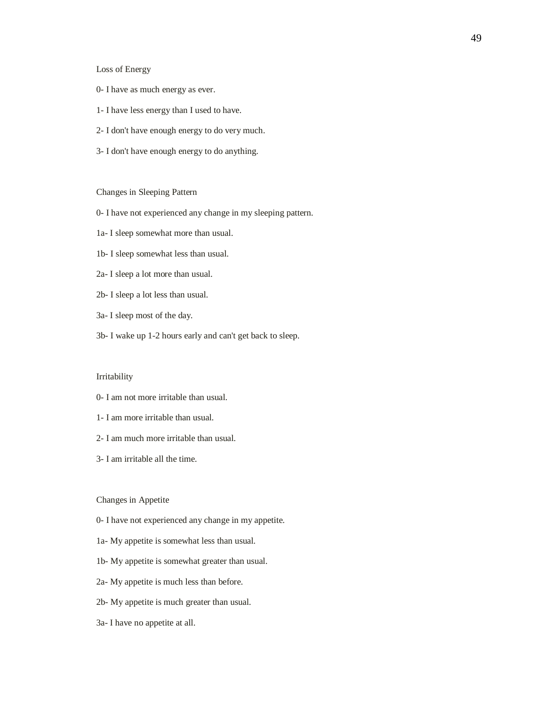#### Loss of Energy

- 0- I have as much energy as ever.
- 1- I have less energy than I used to have.
- 2- I don't have enough energy to do very much.
- 3- I don't have enough energy to do anything.

#### Changes in Sleeping Pattern

- 0- I have not experienced any change in my sleeping pattern.
- 1a- I sleep somewhat more than usual.
- 1b- I sleep somewhat less than usual.
- 2a- I sleep a lot more than usual.
- 2b- I sleep a lot less than usual.
- 3a- I sleep most of the day.
- 3b- I wake up 1-2 hours early and can't get back to sleep.

#### Irritability

- 0- I am not more irritable than usual.
- 1- I am more irritable than usual.
- 2- I am much more irritable than usual.
- 3- I am irritable all the time.

#### Changes in Appetite

- 0- I have not experienced any change in my appetite.
- 1a- My appetite is somewhat less than usual.
- 1b- My appetite is somewhat greater than usual.
- 2a- My appetite is much less than before.
- 2b- My appetite is much greater than usual.
- 3a- I have no appetite at all.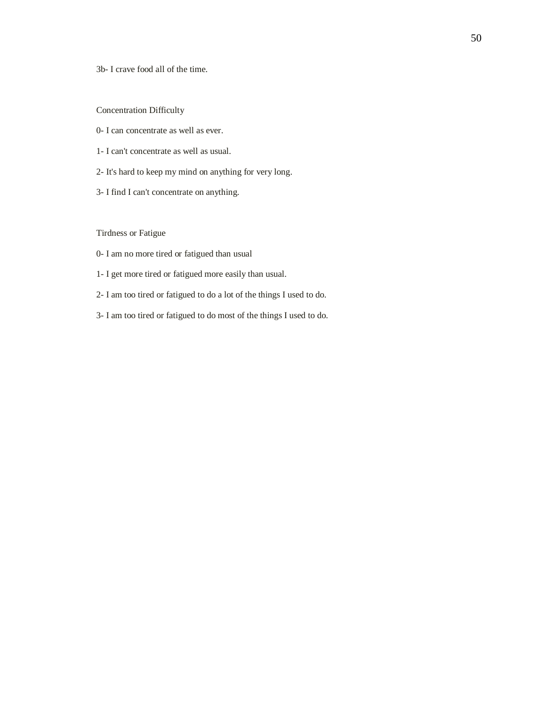3b- I crave food all of the time.

Concentration Difficulty

- 0- I can concentrate as well as ever.
- 1- I can't concentrate as well as usual.
- 2- It's hard to keep my mind on anything for very long.
- 3- I find I can't concentrate on anything.

Tirdness or Fatigue

- 0- I am no more tired or fatigued than usual
- 1- I get more tired or fatigued more easily than usual.
- 2- I am too tired or fatigued to do a lot of the things I used to do.
- 3- I am too tired or fatigued to do most of the things I used to do.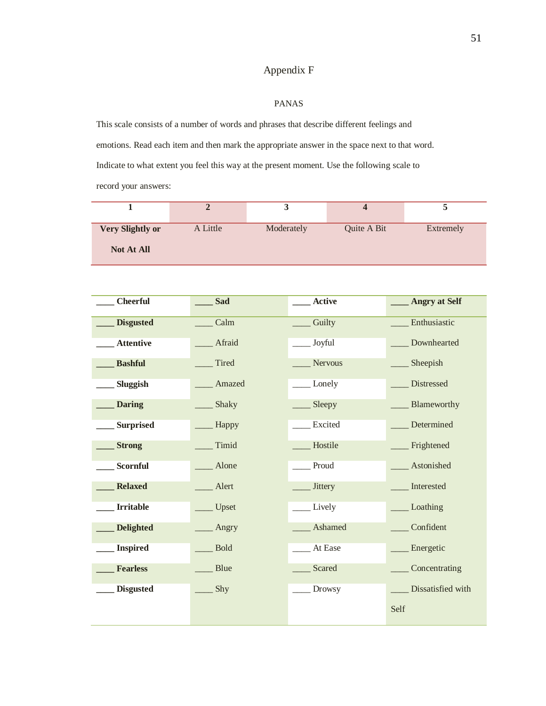# Appendix F

### PANAS

<span id="page-55-0"></span>This scale consists of a number of words and phrases that describe different feelings and emotions. Read each item and then mark the appropriate answer in the space next to that word. Indicate to what extent you feel this way at the present moment. Use the following scale to record your answers:

|                         |          | ັ          |             |           |
|-------------------------|----------|------------|-------------|-----------|
| <b>Very Slightly or</b> | A Little | Moderately | Quite A Bit | Extremely |
| <b>Not At All</b>       |          |            |             |           |

| <b>Cheerful</b>  | <b>Sad</b>  | Active         | <b>Angry at Self</b> |
|------------------|-------------|----------------|----------------------|
| <b>Disgusted</b> | Calm        | Guilty         | Enthusiastic         |
| <b>Attentive</b> | Afraid      | Joyful         | Downhearted          |
| <b>Bashful</b>   | Tired       | Nervous        | Sheepish             |
| Sluggish         | Amazed      | Lonely         | Distressed           |
| <b>Daring</b>    | Shaky       | Sleepy         | Blameworthy          |
| <b>Surprised</b> | - Happy     | Excited        | Determined           |
| <b>Strong</b>    | Timid       | Hostile        | Frightened           |
| Scornful         | Alone       | Proud          | Astonished           |
| <b>Relaxed</b>   | Alert       | <b>Jittery</b> | Interested           |
| <b>Irritable</b> | _ Upset     | Lively         | Loathing             |
| <b>Delighted</b> | _ Angry     | Ashamed        | Confident            |
| <b>Inspired</b>  | <b>Bold</b> | At Ease        | Energetic            |
| <b>Fearless</b>  | Blue        | Scared         | Concentrating        |
| <b>Disgusted</b> | Shy         | Drowsy         | Dissatisfied with    |
|                  |             |                | Self                 |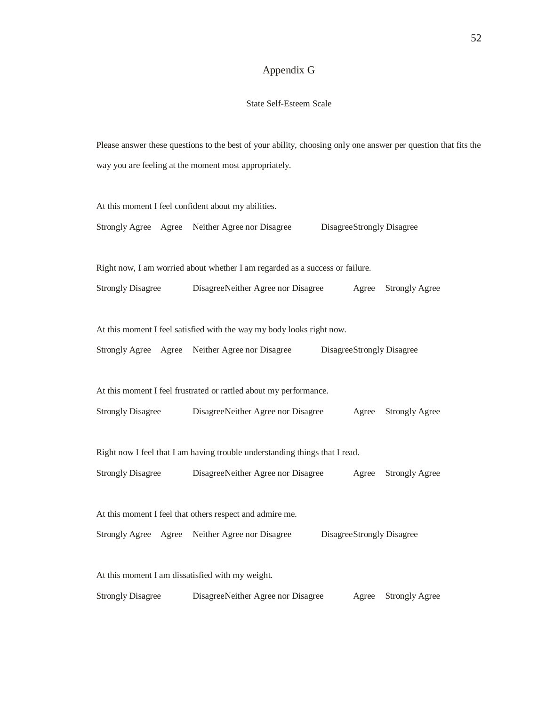# Appendix G

# State Self-Esteem Scale

<span id="page-56-0"></span>Please answer these questions to the best of your ability, choosing only one answer per question that fits the way you are feeling at the moment most appropriately.

| At this moment I feel confident about my abilities.                          |  |                                                                              |  |       |                           |  |  |
|------------------------------------------------------------------------------|--|------------------------------------------------------------------------------|--|-------|---------------------------|--|--|
| Strongly Agree Agree Neither Agree nor Disagree<br>DisagreeStrongly Disagree |  |                                                                              |  |       |                           |  |  |
|                                                                              |  |                                                                              |  |       |                           |  |  |
|                                                                              |  | Right now, I am worried about whether I am regarded as a success or failure. |  |       |                           |  |  |
| <b>Strongly Disagree</b>                                                     |  | DisagreeNeither Agree nor Disagree                                           |  | Agree | <b>Strongly Agree</b>     |  |  |
|                                                                              |  |                                                                              |  |       |                           |  |  |
|                                                                              |  | At this moment I feel satisfied with the way my body looks right now.        |  |       |                           |  |  |
|                                                                              |  | Strongly Agree Agree Neither Agree nor Disagree                              |  |       | DisagreeStrongly Disagree |  |  |
|                                                                              |  |                                                                              |  |       |                           |  |  |
|                                                                              |  | At this moment I feel frustrated or rattled about my performance.            |  |       |                           |  |  |
| <b>Strongly Disagree</b>                                                     |  | DisagreeNeither Agree nor Disagree                                           |  | Agree | <b>Strongly Agree</b>     |  |  |
|                                                                              |  |                                                                              |  |       |                           |  |  |
|                                                                              |  | Right now I feel that I am having trouble understanding things that I read.  |  |       |                           |  |  |
| <b>Strongly Disagree</b>                                                     |  | DisagreeNeither Agree nor Disagree                                           |  | Agree | <b>Strongly Agree</b>     |  |  |
|                                                                              |  |                                                                              |  |       |                           |  |  |
| At this moment I feel that others respect and admire me.                     |  |                                                                              |  |       |                           |  |  |
|                                                                              |  | Strongly Agree Agree Neither Agree nor Disagree                              |  |       | DisagreeStrongly Disagree |  |  |
|                                                                              |  |                                                                              |  |       |                           |  |  |
| At this moment I am dissatisfied with my weight.                             |  |                                                                              |  |       |                           |  |  |
| <b>Strongly Disagree</b>                                                     |  | DisagreeNeither Agree nor Disagree                                           |  | Agree | <b>Strongly Agree</b>     |  |  |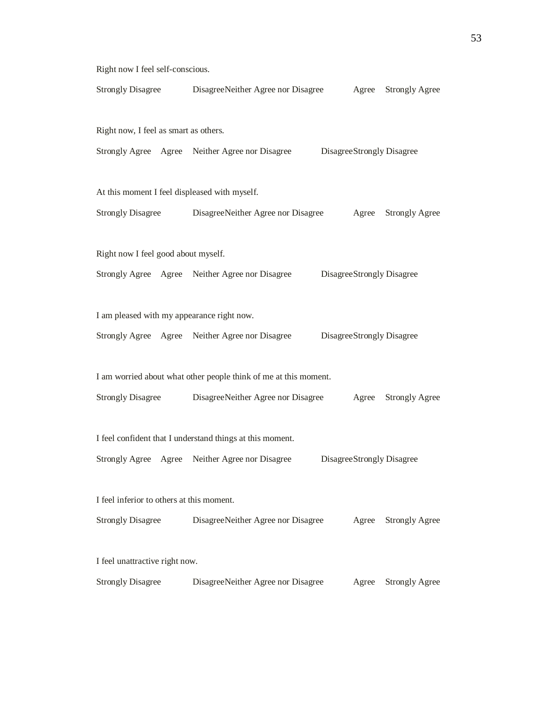Right now I feel self-conscious. Strongly Disagree DisagreeNeither Agree nor Disagree Agree Strongly Agree Right now, I feel as smart as others. Strongly Agree Agree Neither Agree nor Disagree DisagreeStrongly Disagree At this moment I feel displeased with myself. Strongly Disagree DisagreeNeither Agree nor Disagree Agree Strongly Agree Right now I feel good about myself. Strongly Agree Agree Neither Agree nor Disagree DisagreeStrongly Disagree I am pleased with my appearance right now. Strongly Agree Agree Neither Agree nor Disagree DisagreeStrongly Disagree I am worried about what other people think of me at this moment. Strongly Disagree DisagreeNeither Agree nor Disagree Agree Strongly Agree I feel confident that I understand things at this moment. Strongly Agree Agree Neither Agree nor Disagree DisagreeStrongly Disagree I feel inferior to others at this moment. Strongly Disagree DisagreeNeither Agree nor Disagree Agree Strongly Agree I feel unattractive right now. Strongly Disagree DisagreeNeither Agree nor Disagree Agree Strongly Agree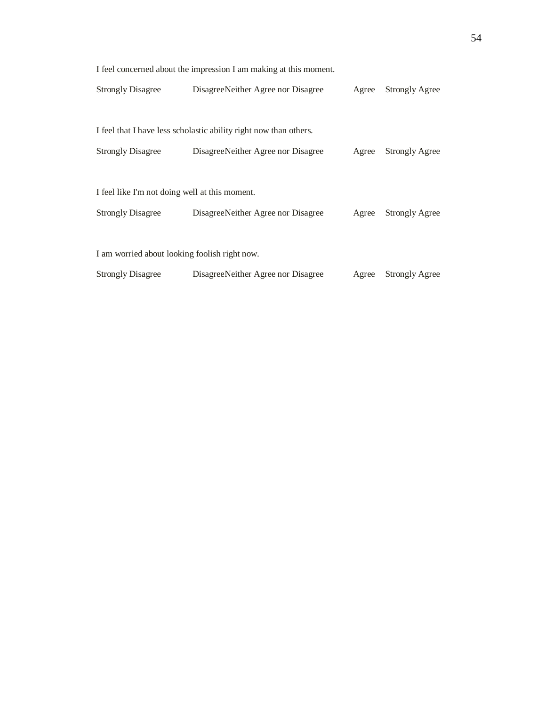| <b>Strongly Disagree</b>                                                                                                                           | Disagree Neither Agree nor Disagree                                                                      | Agree                 | <b>Strongly Agree</b> |  |  |  |  |  |
|----------------------------------------------------------------------------------------------------------------------------------------------------|----------------------------------------------------------------------------------------------------------|-----------------------|-----------------------|--|--|--|--|--|
| <b>Strongly Disagree</b>                                                                                                                           | I feel that I have less scholastic ability right now than others.<br>Disagree Neither Agree nor Disagree | Agree                 | Strongly Agree        |  |  |  |  |  |
| I feel like I'm not doing well at this moment.<br><b>Strongly Disagree</b>                                                                         | Agree                                                                                                    | <b>Strongly Agree</b> |                       |  |  |  |  |  |
| I am worried about looking foolish right now.<br><b>Strongly Disagree</b><br>Disagree Neither Agree nor Disagree<br><b>Strongly Agree</b><br>Agree |                                                                                                          |                       |                       |  |  |  |  |  |

I feel concerned about the impression I am making at this moment.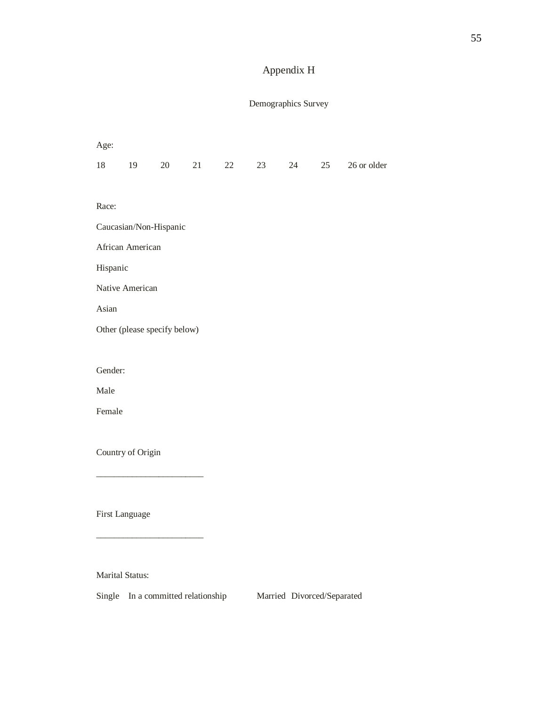# Appendix H

# Demographics Survey

<span id="page-59-0"></span>

| Age:                                            |                   |                              |    |    |    |    |    |             |  |  |
|-------------------------------------------------|-------------------|------------------------------|----|----|----|----|----|-------------|--|--|
| $18\,$                                          | 19                | 20                           | 21 | 22 | 23 | 24 | 25 | 26 or older |  |  |
|                                                 |                   |                              |    |    |    |    |    |             |  |  |
| Race:                                           |                   |                              |    |    |    |    |    |             |  |  |
|                                                 |                   | Caucasian/Non-Hispanic       |    |    |    |    |    |             |  |  |
|                                                 | African American  |                              |    |    |    |    |    |             |  |  |
|                                                 | Hispanic          |                              |    |    |    |    |    |             |  |  |
|                                                 | Native American   |                              |    |    |    |    |    |             |  |  |
| Asian                                           |                   |                              |    |    |    |    |    |             |  |  |
|                                                 |                   | Other (please specify below) |    |    |    |    |    |             |  |  |
|                                                 |                   |                              |    |    |    |    |    |             |  |  |
| Gender:                                         |                   |                              |    |    |    |    |    |             |  |  |
| Male                                            |                   |                              |    |    |    |    |    |             |  |  |
| Female                                          |                   |                              |    |    |    |    |    |             |  |  |
|                                                 |                   |                              |    |    |    |    |    |             |  |  |
|                                                 | Country of Origin |                              |    |    |    |    |    |             |  |  |
|                                                 |                   |                              |    |    |    |    |    |             |  |  |
|                                                 |                   |                              |    |    |    |    |    |             |  |  |
|                                                 | First Language    |                              |    |    |    |    |    |             |  |  |
|                                                 |                   |                              |    |    |    |    |    |             |  |  |
|                                                 |                   |                              |    |    |    |    |    |             |  |  |
| $\mathbf{A} \mathbf{r}$ $\mathbf{A} \mathbf{r}$ | $\sim$            |                              |    |    |    |    |    |             |  |  |

Marital Status:

Single In a committed relationship Married Divorced/Separated